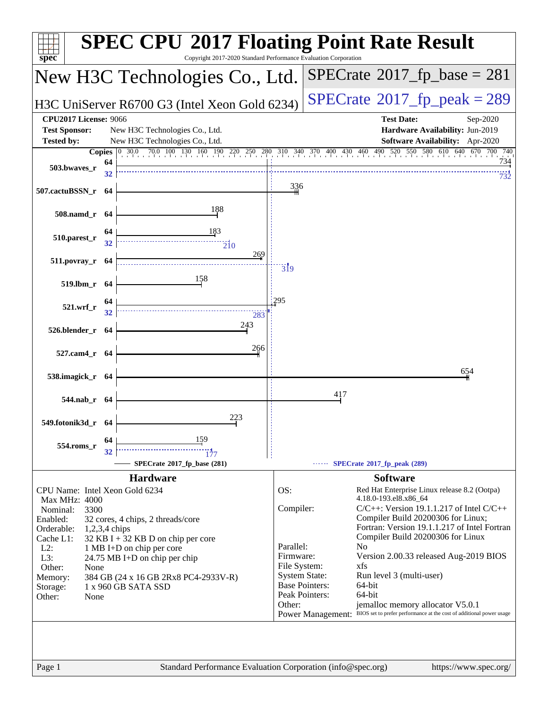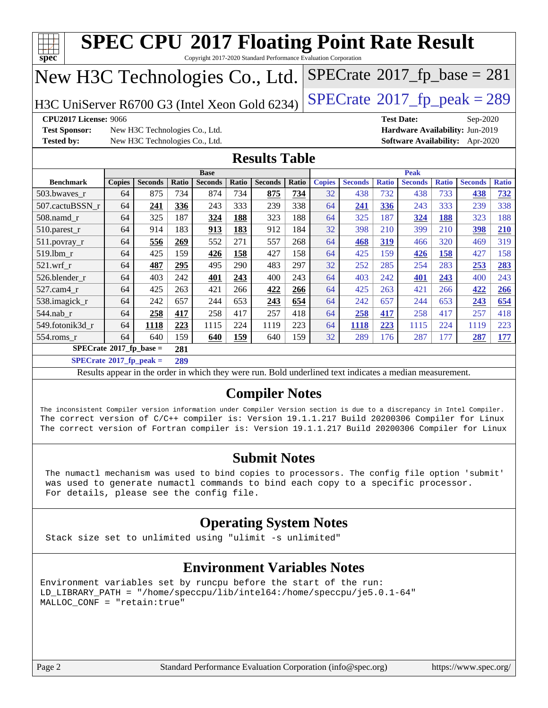|                                                                                                                                                                                                                                                                                                                                                        | $SPECTate@2017_fp\_peak = 289$<br>H3C UniServer R6700 G3 (Intel Xeon Gold 6234) |                                                                  |       |                |       |                      |              |               |                |              |                |              |                                                                           |              |
|--------------------------------------------------------------------------------------------------------------------------------------------------------------------------------------------------------------------------------------------------------------------------------------------------------------------------------------------------------|---------------------------------------------------------------------------------|------------------------------------------------------------------|-------|----------------|-------|----------------------|--------------|---------------|----------------|--------------|----------------|--------------|---------------------------------------------------------------------------|--------------|
| <b>CPU2017 License: 9066</b><br><b>Test Date:</b><br>Sep-2020                                                                                                                                                                                                                                                                                          |                                                                                 |                                                                  |       |                |       |                      |              |               |                |              |                |              |                                                                           |              |
| <b>Test Sponsor:</b><br><b>Tested by:</b>                                                                                                                                                                                                                                                                                                              |                                                                                 | New H3C Technologies Co., Ltd.<br>New H3C Technologies Co., Ltd. |       |                |       |                      |              |               |                |              |                |              | Hardware Availability: Jun-2019<br><b>Software Availability:</b> Apr-2020 |              |
|                                                                                                                                                                                                                                                                                                                                                        |                                                                                 |                                                                  |       |                |       | <b>Results Table</b> |              |               |                |              |                |              |                                                                           |              |
|                                                                                                                                                                                                                                                                                                                                                        |                                                                                 |                                                                  |       | <b>Base</b>    |       |                      |              |               |                |              | <b>Peak</b>    |              |                                                                           |              |
| <b>Benchmark</b>                                                                                                                                                                                                                                                                                                                                       | <b>Copies</b>                                                                   | <b>Seconds</b>                                                   | Ratio | <b>Seconds</b> | Ratio | <b>Seconds</b>       | <b>Ratio</b> | <b>Copies</b> | <b>Seconds</b> | <b>Ratio</b> | <b>Seconds</b> | <b>Ratio</b> | <b>Seconds</b>                                                            | <b>Ratio</b> |
| 503.bwayes r                                                                                                                                                                                                                                                                                                                                           | 64                                                                              | 875                                                              | 734   | 874            | 734   | 875                  | 734          | 32            | 438            | 732          | 438            | 733          | 438                                                                       | 732          |
| 507.cactuBSSN_r                                                                                                                                                                                                                                                                                                                                        | 64                                                                              | 241                                                              | 336   | 243            | 333   | 239                  | 338          | 64            | 241            | 336          | 243            | 333          | 239                                                                       | 338          |
| $508$ .namd $r$                                                                                                                                                                                                                                                                                                                                        | 64                                                                              | 325                                                              | 187   | 324            | 188   | 323                  | 188          | 64            | 325            | 187          | 324            | 188          | 323                                                                       | 188          |
| 510.parest_r                                                                                                                                                                                                                                                                                                                                           | 64                                                                              | 914                                                              | 183   | 913            | 183   | 912                  | 184          | 32            | 398            | 210          | 399            | 210          | 398                                                                       | 210          |
| 511.povray_r                                                                                                                                                                                                                                                                                                                                           | 64                                                                              | 556                                                              | 269   | 552            | 271   | 557                  | 268          | 64            | 468            | 319          | 466            | 320          | 469                                                                       | 319          |
| 519.1bm r                                                                                                                                                                                                                                                                                                                                              | 64                                                                              | 425                                                              | 159   | 426            | 158   | 427                  | 158          | 64            | 425            | 159          | 426            | 158          | 427                                                                       | 158          |
| $521.wrf_r$                                                                                                                                                                                                                                                                                                                                            | 64                                                                              | 487                                                              | 295   | 495            | 290   | 483                  | 297          | 32            | 252            | 285          | 254            | 283          | 253                                                                       | 283          |
| 526.blender_r                                                                                                                                                                                                                                                                                                                                          | 64                                                                              | 403                                                              | 242   | 401            | 243   | 400                  | 243          | 64            | 403            | 242          | 401            | 243          | 400                                                                       | 243          |
| 527.cam4_r                                                                                                                                                                                                                                                                                                                                             | 64                                                                              | 425                                                              | 263   | 421            | 266   | 422                  | 266          | 64            | 425            | 263          | 421            | 266          | 422                                                                       | 266          |
| 538.imagick_r                                                                                                                                                                                                                                                                                                                                          | 64                                                                              | 242                                                              | 657   | 244            | 653   | 243                  | 654          | 64            | 242            | 657          | 244            | 653          | 243                                                                       | 654          |
| $544$ .nab_r                                                                                                                                                                                                                                                                                                                                           | 64                                                                              | 258                                                              | 417   | 258            | 417   | 257                  | 418          | 64            | 258            | 417          | 258            | 417          | 257                                                                       | 418          |
| 549.fotonik3d r                                                                                                                                                                                                                                                                                                                                        | 64                                                                              | 1118                                                             | 223   | 1115           | 224   | 1119                 | 223          | 64            | 1118           | 223          | 1115           | 224          | 1119                                                                      | 223          |
| 554.roms_r                                                                                                                                                                                                                                                                                                                                             | 64                                                                              | 640                                                              | 159   | 640            | 159   | 640                  | 159          | 32            | 289            | 176          | 287            | 177          | 287                                                                       | 177          |
| $SPECrate^{\otimes}2017$ _fp_base =                                                                                                                                                                                                                                                                                                                    |                                                                                 |                                                                  | 281   |                |       |                      |              |               |                |              |                |              |                                                                           |              |
| $SPECrate*2017_fp\_peak =$                                                                                                                                                                                                                                                                                                                             |                                                                                 |                                                                  | 289   |                |       |                      |              |               |                |              |                |              |                                                                           |              |
| Results appear in the order in which they were run. Bold underlined text indicates a median measurement.                                                                                                                                                                                                                                               |                                                                                 |                                                                  |       |                |       |                      |              |               |                |              |                |              |                                                                           |              |
|                                                                                                                                                                                                                                                                                                                                                        |                                                                                 |                                                                  |       |                |       |                      |              |               |                |              |                |              |                                                                           |              |
|                                                                                                                                                                                                                                                                                                                                                        |                                                                                 |                                                                  |       |                |       |                      |              |               |                |              |                |              |                                                                           |              |
|                                                                                                                                                                                                                                                                                                                                                        |                                                                                 |                                                                  |       |                |       |                      |              |               |                |              |                |              |                                                                           |              |
|                                                                                                                                                                                                                                                                                                                                                        |                                                                                 |                                                                  |       |                |       |                      |              |               |                |              |                |              |                                                                           |              |
| <b>Compiler Notes</b><br>The inconsistent Compiler version information under Compiler Version section is due to a discrepancy in Intel Compiler.<br>The correct version of C/C++ compiler is: Version 19.1.1.217 Build 20200306 Compiler for Linux<br>The correct version of Fortran compiler is: Version 19.1.1.217 Build 20200306 Compiler for Linux |                                                                                 |                                                                  |       |                |       |                      |              |               |                |              |                |              |                                                                           |              |

 was used to generate numactl commands to bind each copy to a specific processor. For details, please see the config file.

#### **[Operating System Notes](http://www.spec.org/auto/cpu2017/Docs/result-fields.html#OperatingSystemNotes)**

Stack size set to unlimited using "ulimit -s unlimited"

#### **[Environment Variables Notes](http://www.spec.org/auto/cpu2017/Docs/result-fields.html#EnvironmentVariablesNotes)**

Environment variables set by runcpu before the start of the run: LD\_LIBRARY\_PATH = "/home/speccpu/lib/intel64:/home/speccpu/je5.0.1-64" MALLOC\_CONF = "retain:true"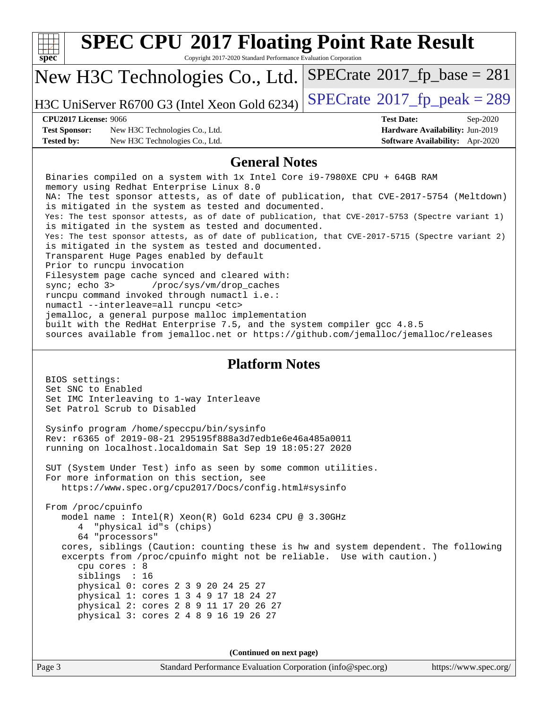| Copyright 2017-2020 Standard Performance Evaluation Corporation<br>$SPECrate^{\circ}2017$ _fp_base = 281<br>New H3C Technologies Co., Ltd.<br>$SPECrate$ <sup>®</sup> $2017$ _fp_peak = 289<br>H3C UniServer R6700 G3 (Intel Xeon Gold 6234)<br><b>CPU2017 License: 9066</b><br><b>Test Date:</b><br>Sep-2020<br><b>Test Sponsor:</b><br>New H3C Technologies Co., Ltd.<br>Hardware Availability: Jun-2019<br><b>Tested by:</b><br>New H3C Technologies Co., Ltd.<br><b>Software Availability:</b> Apr-2020<br><b>General Notes</b><br>Binaries compiled on a system with 1x Intel Core i9-7980XE CPU + 64GB RAM<br>memory using Redhat Enterprise Linux 8.0<br>NA: The test sponsor attests, as of date of publication, that CVE-2017-5754 (Meltdown)<br>is mitigated in the system as tested and documented.<br>Yes: The test sponsor attests, as of date of publication, that CVE-2017-5753 (Spectre variant 1)<br>is mitigated in the system as tested and documented.<br>Yes: The test sponsor attests, as of date of publication, that CVE-2017-5715 (Spectre variant 2)<br>is mitigated in the system as tested and documented.<br>Transparent Huge Pages enabled by default<br>Prior to runcpu invocation<br>Filesystem page cache synced and cleared with:<br>/proc/sys/vm/drop_caches<br>sync $i$ echo $3$<br>runcpu command invoked through numactl i.e.:<br>numactl --interleave=all runcpu <etc><br/>jemalloc, a general purpose malloc implementation<br/>built with the RedHat Enterprise 7.5, and the system compiler gcc 4.8.5<br/>sources available from jemalloc.net or https://github.com/jemalloc/jemalloc/releases<br/><b>Platform Notes</b><br/>BIOS settings:<br/>Set SNC to Enabled<br/>Set IMC Interleaving to 1-way Interleave<br/>Set Patrol Scrub to Disabled<br/>Sysinfo program /home/speccpu/bin/sysinfo<br/>Rev: r6365 of 2019-08-21 295195f888a3d7edble6e46a485a0011<br/>running on localhost. localdomain Sat Sep 19 18:05:27 2020<br/>SUT (System Under Test) info as seen by some common utilities.<br/>For more information on this section, see<br/>https://www.spec.org/cpu2017/Docs/config.html#sysinfo<br/>From /proc/cpuinfo<br/>model name: Intel(R) Xeon(R) Gold 6234 CPU @ 3.30GHz<br/>"physical id"s (chips)<br/>64 "processors"<br/>cores, siblings (Caution: counting these is hw and system dependent. The following<br/>excerpts from /proc/cpuinfo might not be reliable. Use with caution.)<br/>cpu cores : 8<br/>siblings : 16<br/>physical 0: cores 2 3 9 20 24 25 27<br/>physical 1: cores 1 3 4 9 17 18 24 27<br/>physical 2: cores 2 8 9 11 17 20 26 27<br/>physical 3: cores 2 4 8 9 16 19 26 27<br/>(Continued on next page)<br/>Page 3<br/>Standard Performance Evaluation Corporation (info@spec.org)<br/>https://www.spec.org/</etc> | <b>SPEC CPU®2017 Floating Point Rate Result</b> |  |  |  |  |  |
|-----------------------------------------------------------------------------------------------------------------------------------------------------------------------------------------------------------------------------------------------------------------------------------------------------------------------------------------------------------------------------------------------------------------------------------------------------------------------------------------------------------------------------------------------------------------------------------------------------------------------------------------------------------------------------------------------------------------------------------------------------------------------------------------------------------------------------------------------------------------------------------------------------------------------------------------------------------------------------------------------------------------------------------------------------------------------------------------------------------------------------------------------------------------------------------------------------------------------------------------------------------------------------------------------------------------------------------------------------------------------------------------------------------------------------------------------------------------------------------------------------------------------------------------------------------------------------------------------------------------------------------------------------------------------------------------------------------------------------------------------------------------------------------------------------------------------------------------------------------------------------------------------------------------------------------------------------------------------------------------------------------------------------------------------------------------------------------------------------------------------------------------------------------------------------------------------------------------------------------------------------------------------------------------------------------------------------------------------------------------------------------------------------------------------------------------------------------------------------------------------------------------------------------------------------------------------------------------------------------------------------------------------------------------------------------------------------------------------------------------------------------------------------------------------------|-------------------------------------------------|--|--|--|--|--|
|                                                                                                                                                                                                                                                                                                                                                                                                                                                                                                                                                                                                                                                                                                                                                                                                                                                                                                                                                                                                                                                                                                                                                                                                                                                                                                                                                                                                                                                                                                                                                                                                                                                                                                                                                                                                                                                                                                                                                                                                                                                                                                                                                                                                                                                                                                                                                                                                                                                                                                                                                                                                                                                                                                                                                                                                     | spec                                            |  |  |  |  |  |
|                                                                                                                                                                                                                                                                                                                                                                                                                                                                                                                                                                                                                                                                                                                                                                                                                                                                                                                                                                                                                                                                                                                                                                                                                                                                                                                                                                                                                                                                                                                                                                                                                                                                                                                                                                                                                                                                                                                                                                                                                                                                                                                                                                                                                                                                                                                                                                                                                                                                                                                                                                                                                                                                                                                                                                                                     |                                                 |  |  |  |  |  |
|                                                                                                                                                                                                                                                                                                                                                                                                                                                                                                                                                                                                                                                                                                                                                                                                                                                                                                                                                                                                                                                                                                                                                                                                                                                                                                                                                                                                                                                                                                                                                                                                                                                                                                                                                                                                                                                                                                                                                                                                                                                                                                                                                                                                                                                                                                                                                                                                                                                                                                                                                                                                                                                                                                                                                                                                     |                                                 |  |  |  |  |  |
|                                                                                                                                                                                                                                                                                                                                                                                                                                                                                                                                                                                                                                                                                                                                                                                                                                                                                                                                                                                                                                                                                                                                                                                                                                                                                                                                                                                                                                                                                                                                                                                                                                                                                                                                                                                                                                                                                                                                                                                                                                                                                                                                                                                                                                                                                                                                                                                                                                                                                                                                                                                                                                                                                                                                                                                                     |                                                 |  |  |  |  |  |
|                                                                                                                                                                                                                                                                                                                                                                                                                                                                                                                                                                                                                                                                                                                                                                                                                                                                                                                                                                                                                                                                                                                                                                                                                                                                                                                                                                                                                                                                                                                                                                                                                                                                                                                                                                                                                                                                                                                                                                                                                                                                                                                                                                                                                                                                                                                                                                                                                                                                                                                                                                                                                                                                                                                                                                                                     |                                                 |  |  |  |  |  |
|                                                                                                                                                                                                                                                                                                                                                                                                                                                                                                                                                                                                                                                                                                                                                                                                                                                                                                                                                                                                                                                                                                                                                                                                                                                                                                                                                                                                                                                                                                                                                                                                                                                                                                                                                                                                                                                                                                                                                                                                                                                                                                                                                                                                                                                                                                                                                                                                                                                                                                                                                                                                                                                                                                                                                                                                     |                                                 |  |  |  |  |  |
|                                                                                                                                                                                                                                                                                                                                                                                                                                                                                                                                                                                                                                                                                                                                                                                                                                                                                                                                                                                                                                                                                                                                                                                                                                                                                                                                                                                                                                                                                                                                                                                                                                                                                                                                                                                                                                                                                                                                                                                                                                                                                                                                                                                                                                                                                                                                                                                                                                                                                                                                                                                                                                                                                                                                                                                                     |                                                 |  |  |  |  |  |
|                                                                                                                                                                                                                                                                                                                                                                                                                                                                                                                                                                                                                                                                                                                                                                                                                                                                                                                                                                                                                                                                                                                                                                                                                                                                                                                                                                                                                                                                                                                                                                                                                                                                                                                                                                                                                                                                                                                                                                                                                                                                                                                                                                                                                                                                                                                                                                                                                                                                                                                                                                                                                                                                                                                                                                                                     |                                                 |  |  |  |  |  |
|                                                                                                                                                                                                                                                                                                                                                                                                                                                                                                                                                                                                                                                                                                                                                                                                                                                                                                                                                                                                                                                                                                                                                                                                                                                                                                                                                                                                                                                                                                                                                                                                                                                                                                                                                                                                                                                                                                                                                                                                                                                                                                                                                                                                                                                                                                                                                                                                                                                                                                                                                                                                                                                                                                                                                                                                     |                                                 |  |  |  |  |  |
|                                                                                                                                                                                                                                                                                                                                                                                                                                                                                                                                                                                                                                                                                                                                                                                                                                                                                                                                                                                                                                                                                                                                                                                                                                                                                                                                                                                                                                                                                                                                                                                                                                                                                                                                                                                                                                                                                                                                                                                                                                                                                                                                                                                                                                                                                                                                                                                                                                                                                                                                                                                                                                                                                                                                                                                                     |                                                 |  |  |  |  |  |
|                                                                                                                                                                                                                                                                                                                                                                                                                                                                                                                                                                                                                                                                                                                                                                                                                                                                                                                                                                                                                                                                                                                                                                                                                                                                                                                                                                                                                                                                                                                                                                                                                                                                                                                                                                                                                                                                                                                                                                                                                                                                                                                                                                                                                                                                                                                                                                                                                                                                                                                                                                                                                                                                                                                                                                                                     |                                                 |  |  |  |  |  |
|                                                                                                                                                                                                                                                                                                                                                                                                                                                                                                                                                                                                                                                                                                                                                                                                                                                                                                                                                                                                                                                                                                                                                                                                                                                                                                                                                                                                                                                                                                                                                                                                                                                                                                                                                                                                                                                                                                                                                                                                                                                                                                                                                                                                                                                                                                                                                                                                                                                                                                                                                                                                                                                                                                                                                                                                     |                                                 |  |  |  |  |  |
|                                                                                                                                                                                                                                                                                                                                                                                                                                                                                                                                                                                                                                                                                                                                                                                                                                                                                                                                                                                                                                                                                                                                                                                                                                                                                                                                                                                                                                                                                                                                                                                                                                                                                                                                                                                                                                                                                                                                                                                                                                                                                                                                                                                                                                                                                                                                                                                                                                                                                                                                                                                                                                                                                                                                                                                                     |                                                 |  |  |  |  |  |
|                                                                                                                                                                                                                                                                                                                                                                                                                                                                                                                                                                                                                                                                                                                                                                                                                                                                                                                                                                                                                                                                                                                                                                                                                                                                                                                                                                                                                                                                                                                                                                                                                                                                                                                                                                                                                                                                                                                                                                                                                                                                                                                                                                                                                                                                                                                                                                                                                                                                                                                                                                                                                                                                                                                                                                                                     |                                                 |  |  |  |  |  |
|                                                                                                                                                                                                                                                                                                                                                                                                                                                                                                                                                                                                                                                                                                                                                                                                                                                                                                                                                                                                                                                                                                                                                                                                                                                                                                                                                                                                                                                                                                                                                                                                                                                                                                                                                                                                                                                                                                                                                                                                                                                                                                                                                                                                                                                                                                                                                                                                                                                                                                                                                                                                                                                                                                                                                                                                     |                                                 |  |  |  |  |  |
|                                                                                                                                                                                                                                                                                                                                                                                                                                                                                                                                                                                                                                                                                                                                                                                                                                                                                                                                                                                                                                                                                                                                                                                                                                                                                                                                                                                                                                                                                                                                                                                                                                                                                                                                                                                                                                                                                                                                                                                                                                                                                                                                                                                                                                                                                                                                                                                                                                                                                                                                                                                                                                                                                                                                                                                                     |                                                 |  |  |  |  |  |
|                                                                                                                                                                                                                                                                                                                                                                                                                                                                                                                                                                                                                                                                                                                                                                                                                                                                                                                                                                                                                                                                                                                                                                                                                                                                                                                                                                                                                                                                                                                                                                                                                                                                                                                                                                                                                                                                                                                                                                                                                                                                                                                                                                                                                                                                                                                                                                                                                                                                                                                                                                                                                                                                                                                                                                                                     |                                                 |  |  |  |  |  |
|                                                                                                                                                                                                                                                                                                                                                                                                                                                                                                                                                                                                                                                                                                                                                                                                                                                                                                                                                                                                                                                                                                                                                                                                                                                                                                                                                                                                                                                                                                                                                                                                                                                                                                                                                                                                                                                                                                                                                                                                                                                                                                                                                                                                                                                                                                                                                                                                                                                                                                                                                                                                                                                                                                                                                                                                     |                                                 |  |  |  |  |  |
|                                                                                                                                                                                                                                                                                                                                                                                                                                                                                                                                                                                                                                                                                                                                                                                                                                                                                                                                                                                                                                                                                                                                                                                                                                                                                                                                                                                                                                                                                                                                                                                                                                                                                                                                                                                                                                                                                                                                                                                                                                                                                                                                                                                                                                                                                                                                                                                                                                                                                                                                                                                                                                                                                                                                                                                                     |                                                 |  |  |  |  |  |
|                                                                                                                                                                                                                                                                                                                                                                                                                                                                                                                                                                                                                                                                                                                                                                                                                                                                                                                                                                                                                                                                                                                                                                                                                                                                                                                                                                                                                                                                                                                                                                                                                                                                                                                                                                                                                                                                                                                                                                                                                                                                                                                                                                                                                                                                                                                                                                                                                                                                                                                                                                                                                                                                                                                                                                                                     |                                                 |  |  |  |  |  |
|                                                                                                                                                                                                                                                                                                                                                                                                                                                                                                                                                                                                                                                                                                                                                                                                                                                                                                                                                                                                                                                                                                                                                                                                                                                                                                                                                                                                                                                                                                                                                                                                                                                                                                                                                                                                                                                                                                                                                                                                                                                                                                                                                                                                                                                                                                                                                                                                                                                                                                                                                                                                                                                                                                                                                                                                     |                                                 |  |  |  |  |  |
|                                                                                                                                                                                                                                                                                                                                                                                                                                                                                                                                                                                                                                                                                                                                                                                                                                                                                                                                                                                                                                                                                                                                                                                                                                                                                                                                                                                                                                                                                                                                                                                                                                                                                                                                                                                                                                                                                                                                                                                                                                                                                                                                                                                                                                                                                                                                                                                                                                                                                                                                                                                                                                                                                                                                                                                                     |                                                 |  |  |  |  |  |
|                                                                                                                                                                                                                                                                                                                                                                                                                                                                                                                                                                                                                                                                                                                                                                                                                                                                                                                                                                                                                                                                                                                                                                                                                                                                                                                                                                                                                                                                                                                                                                                                                                                                                                                                                                                                                                                                                                                                                                                                                                                                                                                                                                                                                                                                                                                                                                                                                                                                                                                                                                                                                                                                                                                                                                                                     |                                                 |  |  |  |  |  |
|                                                                                                                                                                                                                                                                                                                                                                                                                                                                                                                                                                                                                                                                                                                                                                                                                                                                                                                                                                                                                                                                                                                                                                                                                                                                                                                                                                                                                                                                                                                                                                                                                                                                                                                                                                                                                                                                                                                                                                                                                                                                                                                                                                                                                                                                                                                                                                                                                                                                                                                                                                                                                                                                                                                                                                                                     |                                                 |  |  |  |  |  |
|                                                                                                                                                                                                                                                                                                                                                                                                                                                                                                                                                                                                                                                                                                                                                                                                                                                                                                                                                                                                                                                                                                                                                                                                                                                                                                                                                                                                                                                                                                                                                                                                                                                                                                                                                                                                                                                                                                                                                                                                                                                                                                                                                                                                                                                                                                                                                                                                                                                                                                                                                                                                                                                                                                                                                                                                     |                                                 |  |  |  |  |  |
|                                                                                                                                                                                                                                                                                                                                                                                                                                                                                                                                                                                                                                                                                                                                                                                                                                                                                                                                                                                                                                                                                                                                                                                                                                                                                                                                                                                                                                                                                                                                                                                                                                                                                                                                                                                                                                                                                                                                                                                                                                                                                                                                                                                                                                                                                                                                                                                                                                                                                                                                                                                                                                                                                                                                                                                                     |                                                 |  |  |  |  |  |
|                                                                                                                                                                                                                                                                                                                                                                                                                                                                                                                                                                                                                                                                                                                                                                                                                                                                                                                                                                                                                                                                                                                                                                                                                                                                                                                                                                                                                                                                                                                                                                                                                                                                                                                                                                                                                                                                                                                                                                                                                                                                                                                                                                                                                                                                                                                                                                                                                                                                                                                                                                                                                                                                                                                                                                                                     |                                                 |  |  |  |  |  |
|                                                                                                                                                                                                                                                                                                                                                                                                                                                                                                                                                                                                                                                                                                                                                                                                                                                                                                                                                                                                                                                                                                                                                                                                                                                                                                                                                                                                                                                                                                                                                                                                                                                                                                                                                                                                                                                                                                                                                                                                                                                                                                                                                                                                                                                                                                                                                                                                                                                                                                                                                                                                                                                                                                                                                                                                     |                                                 |  |  |  |  |  |
|                                                                                                                                                                                                                                                                                                                                                                                                                                                                                                                                                                                                                                                                                                                                                                                                                                                                                                                                                                                                                                                                                                                                                                                                                                                                                                                                                                                                                                                                                                                                                                                                                                                                                                                                                                                                                                                                                                                                                                                                                                                                                                                                                                                                                                                                                                                                                                                                                                                                                                                                                                                                                                                                                                                                                                                                     |                                                 |  |  |  |  |  |
|                                                                                                                                                                                                                                                                                                                                                                                                                                                                                                                                                                                                                                                                                                                                                                                                                                                                                                                                                                                                                                                                                                                                                                                                                                                                                                                                                                                                                                                                                                                                                                                                                                                                                                                                                                                                                                                                                                                                                                                                                                                                                                                                                                                                                                                                                                                                                                                                                                                                                                                                                                                                                                                                                                                                                                                                     |                                                 |  |  |  |  |  |
|                                                                                                                                                                                                                                                                                                                                                                                                                                                                                                                                                                                                                                                                                                                                                                                                                                                                                                                                                                                                                                                                                                                                                                                                                                                                                                                                                                                                                                                                                                                                                                                                                                                                                                                                                                                                                                                                                                                                                                                                                                                                                                                                                                                                                                                                                                                                                                                                                                                                                                                                                                                                                                                                                                                                                                                                     |                                                 |  |  |  |  |  |
|                                                                                                                                                                                                                                                                                                                                                                                                                                                                                                                                                                                                                                                                                                                                                                                                                                                                                                                                                                                                                                                                                                                                                                                                                                                                                                                                                                                                                                                                                                                                                                                                                                                                                                                                                                                                                                                                                                                                                                                                                                                                                                                                                                                                                                                                                                                                                                                                                                                                                                                                                                                                                                                                                                                                                                                                     |                                                 |  |  |  |  |  |
|                                                                                                                                                                                                                                                                                                                                                                                                                                                                                                                                                                                                                                                                                                                                                                                                                                                                                                                                                                                                                                                                                                                                                                                                                                                                                                                                                                                                                                                                                                                                                                                                                                                                                                                                                                                                                                                                                                                                                                                                                                                                                                                                                                                                                                                                                                                                                                                                                                                                                                                                                                                                                                                                                                                                                                                                     |                                                 |  |  |  |  |  |
|                                                                                                                                                                                                                                                                                                                                                                                                                                                                                                                                                                                                                                                                                                                                                                                                                                                                                                                                                                                                                                                                                                                                                                                                                                                                                                                                                                                                                                                                                                                                                                                                                                                                                                                                                                                                                                                                                                                                                                                                                                                                                                                                                                                                                                                                                                                                                                                                                                                                                                                                                                                                                                                                                                                                                                                                     |                                                 |  |  |  |  |  |
|                                                                                                                                                                                                                                                                                                                                                                                                                                                                                                                                                                                                                                                                                                                                                                                                                                                                                                                                                                                                                                                                                                                                                                                                                                                                                                                                                                                                                                                                                                                                                                                                                                                                                                                                                                                                                                                                                                                                                                                                                                                                                                                                                                                                                                                                                                                                                                                                                                                                                                                                                                                                                                                                                                                                                                                                     |                                                 |  |  |  |  |  |
|                                                                                                                                                                                                                                                                                                                                                                                                                                                                                                                                                                                                                                                                                                                                                                                                                                                                                                                                                                                                                                                                                                                                                                                                                                                                                                                                                                                                                                                                                                                                                                                                                                                                                                                                                                                                                                                                                                                                                                                                                                                                                                                                                                                                                                                                                                                                                                                                                                                                                                                                                                                                                                                                                                                                                                                                     |                                                 |  |  |  |  |  |
|                                                                                                                                                                                                                                                                                                                                                                                                                                                                                                                                                                                                                                                                                                                                                                                                                                                                                                                                                                                                                                                                                                                                                                                                                                                                                                                                                                                                                                                                                                                                                                                                                                                                                                                                                                                                                                                                                                                                                                                                                                                                                                                                                                                                                                                                                                                                                                                                                                                                                                                                                                                                                                                                                                                                                                                                     |                                                 |  |  |  |  |  |
|                                                                                                                                                                                                                                                                                                                                                                                                                                                                                                                                                                                                                                                                                                                                                                                                                                                                                                                                                                                                                                                                                                                                                                                                                                                                                                                                                                                                                                                                                                                                                                                                                                                                                                                                                                                                                                                                                                                                                                                                                                                                                                                                                                                                                                                                                                                                                                                                                                                                                                                                                                                                                                                                                                                                                                                                     |                                                 |  |  |  |  |  |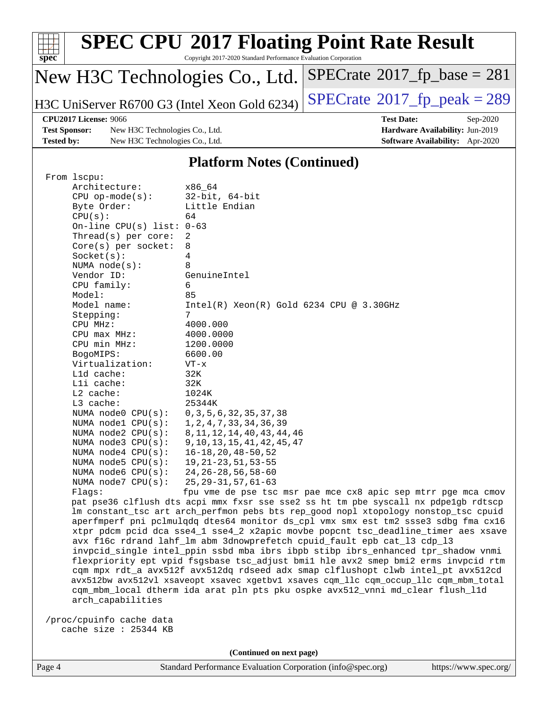| <b>SPEC CPU®2017 Floating Point Rate Result</b><br>spec<br>Copyright 2017-2020 Standard Performance Evaluation Corporation |                                               |                                              |  |  |  |
|----------------------------------------------------------------------------------------------------------------------------|-----------------------------------------------|----------------------------------------------|--|--|--|
| $SPECrate^{\circ}2017$ _fp_base = 281<br>New H3C Technologies Co., Ltd.                                                    |                                               |                                              |  |  |  |
|                                                                                                                            | H3C UniServer R6700 G3 (Intel Xeon Gold 6234) | $SPECrate^{\circledcirc}2017$ _fp_peak = 289 |  |  |  |
| <b>CPU2017 License: 9066</b>                                                                                               |                                               | <b>Test Date:</b><br>$Sep-2020$              |  |  |  |
| <b>Test Sponsor:</b>                                                                                                       | New H3C Technologies Co., Ltd.                | Hardware Availability: Jun-2019              |  |  |  |
| <b>Tested by:</b>                                                                                                          | New H3C Technologies Co., Ltd.                | Software Availability: Apr-2020              |  |  |  |
| <b>Platform Notes (Continued)</b>                                                                                          |                                               |                                              |  |  |  |

| From 1scpu:                 |                                                                                      |
|-----------------------------|--------------------------------------------------------------------------------------|
| Architecture:               | x86_64                                                                               |
| $CPU$ op-mode( $s$ ):       | $32$ -bit, $64$ -bit                                                                 |
| Byte Order:                 | Little Endian                                                                        |
| CPU(s):                     | 64                                                                                   |
| On-line CPU(s) list: $0-63$ |                                                                                      |
| Thread( $s$ ) per core:     | 2                                                                                    |
| $Core(s)$ per socket:       | 8                                                                                    |
| Socket(s):                  | 4                                                                                    |
| NUMA $node(s):$             | 8                                                                                    |
| Vendor ID:                  | GenuineIntel                                                                         |
| CPU family:                 | 6                                                                                    |
| Model:                      | 85                                                                                   |
| Model name:                 | $Intel(R) Xeon(R) Gold 6234 CPU @ 3.30GHz$                                           |
| Stepping:                   | 7                                                                                    |
| CPU MHz:                    | 4000.000                                                                             |
| CPU max MHz:                | 4000.0000                                                                            |
| CPU min MHz:                | 1200.0000                                                                            |
| BogoMIPS:                   | 6600.00                                                                              |
| Virtualization:             | $VT - x$                                                                             |
| L1d cache:                  | 32K                                                                                  |
| Lli cache:                  | 32K                                                                                  |
| $L2$ cache:                 | 1024K                                                                                |
| L3 cache:                   | 25344K                                                                               |
| NUMA node0 CPU(s):          | 0, 3, 5, 6, 32, 35, 37, 38                                                           |
| NUMA $node1$ CPU $(s)$ :    | 1, 2, 4, 7, 33, 34, 36, 39                                                           |
| NUMA $node2$ $CPU(s):$      | 8, 11, 12, 14, 40, 43, 44, 46                                                        |
| NUMA node3 CPU(s):          | 9, 10, 13, 15, 41, 42, 45, 47                                                        |
| NUMA $node4$ $CPU(s):$      | $16 - 18, 20, 48 - 50, 52$                                                           |
| NUMA node5 $CPU(s):$        | $19, 21 - 23, 51, 53 - 55$                                                           |
| NUMA $node6$ $CPU(s):$      | $24, 26 - 28, 56, 58 - 60$                                                           |
| NUMA node7 CPU(s):          | $25, 29 - 31, 57, 61 - 63$                                                           |
| Flags:                      | fpu vme de pse tsc msr pae mce cx8 apic sep mtrr pge mca cmov                        |
|                             | pat pse36 clflush dts acpi mmx fxsr sse sse2 ss ht tm pbe syscall nx pdpe1gb rdtscp  |
|                             | lm constant_tsc art arch_perfmon pebs bts rep_good nopl xtopology nonstop_tsc cpuid  |
|                             | aperfmperf pni pclmulqdq dtes64 monitor ds_cpl vmx smx est tm2 ssse3 sdbg fma cx16   |
|                             | xtpr pdcm pcid dca sse4_1 sse4_2 x2apic movbe popcnt tsc_deadline_timer aes xsave    |
|                             | avx f16c rdrand lahf_lm abm 3dnowprefetch cpuid_fault epb cat_13 cdp_13              |
|                             | invpcid_single intel_ppin ssbd mba ibrs ibpb stibp ibrs_enhanced tpr_shadow vnmi     |
|                             | flexpriority ept vpid fsgsbase tsc_adjust bmil hle avx2 smep bmi2 erms invpcid rtm   |
|                             | cqm mpx rdt_a avx512f avx512dq rdseed adx smap clflushopt clwb intel_pt avx512cd     |
|                             | avx512bw avx512vl xsaveopt xsavec xgetbvl xsaves cqm_llc cqm_occup_llc cqm_mbm_total |
|                             | cqm_mbm_local dtherm ida arat pln pts pku ospke avx512_vnni md_clear flush_l1d       |
| arch capabilities           |                                                                                      |
|                             |                                                                                      |
| /proc/cpuinfo cache data    |                                                                                      |
| cache size : 25344 KB       |                                                                                      |

**(Continued on next page)**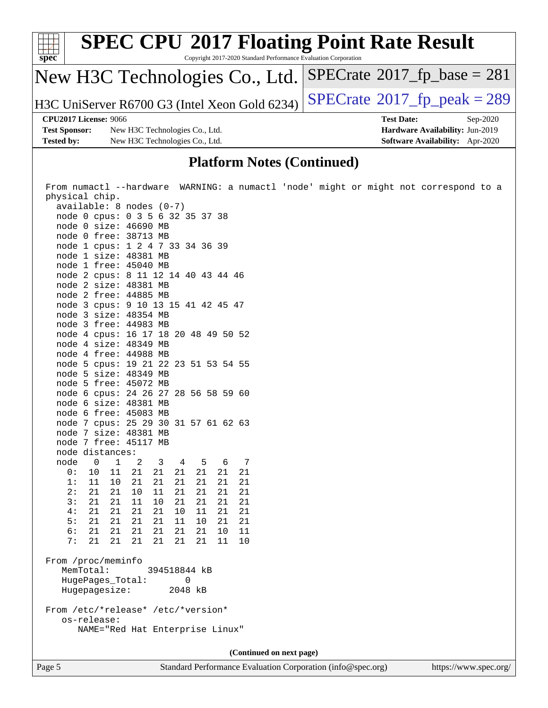| <b>SPEC CPU®2017 Floating Point Rate Result</b><br>spec <sup>®</sup><br>Copyright 2017-2020 Standard Performance Evaluation Corporation |                                               |                                             |  |
|-----------------------------------------------------------------------------------------------------------------------------------------|-----------------------------------------------|---------------------------------------------|--|
|                                                                                                                                         | New H3C Technologies Co., Ltd.                | $SPECrate^{\circ}2017$ _fp_base = 281       |  |
|                                                                                                                                         | H3C UniServer R6700 G3 (Intel Xeon Gold 6234) | $SPECrate^{\circledcirc}2017$ fp peak = 289 |  |
|                                                                                                                                         | CPU2017 License: 9066                         | <b>Test Date:</b><br>$Sep-2020$             |  |
| <b>Test Sponsor:</b>                                                                                                                    | New H3C Technologies Co., Ltd.                | Hardware Availability: Jun-2019             |  |
| <b>Tested by:</b>                                                                                                                       | New H3C Technologies Co., Ltd.                | Software Availability: Apr-2020             |  |
|                                                                                                                                         |                                               |                                             |  |

#### **[Platform Notes \(Continued\)](http://www.spec.org/auto/cpu2017/Docs/result-fields.html#PlatformNotes)**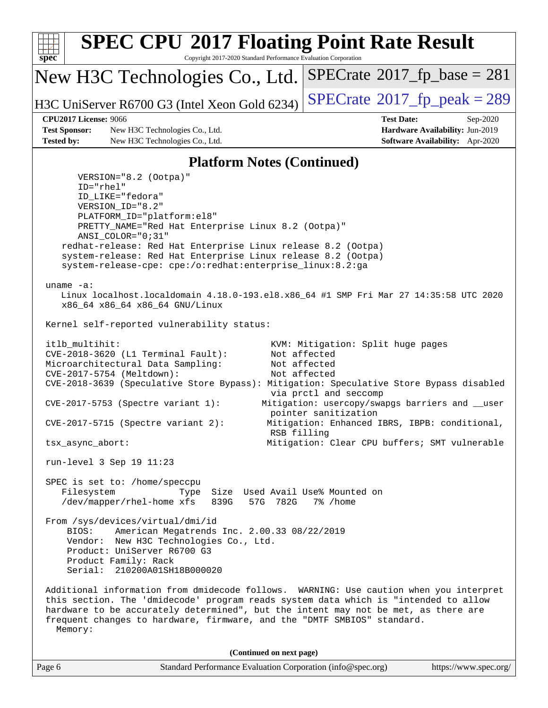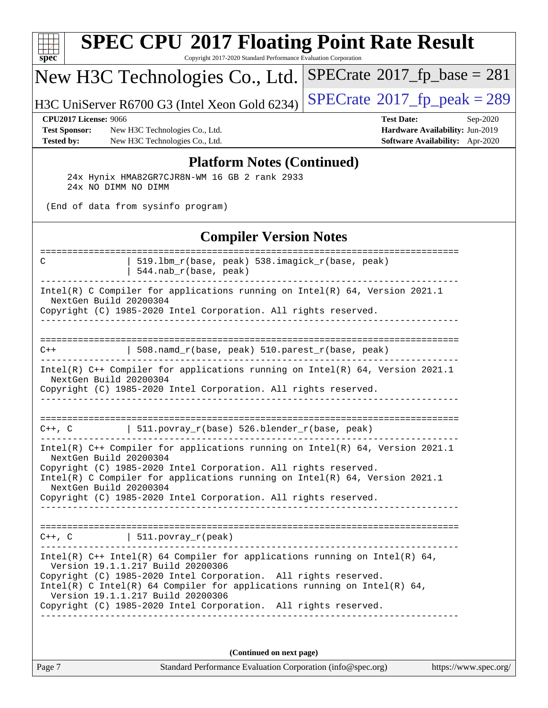| $spec^*$                                                                                                                                                                                                                                                                                                                                                                 | Copyright 2017-2020 Standard Performance Evaluation Corporation | <b>SPEC CPU®2017 Floating Point Rate Result</b>                                                     |
|--------------------------------------------------------------------------------------------------------------------------------------------------------------------------------------------------------------------------------------------------------------------------------------------------------------------------------------------------------------------------|-----------------------------------------------------------------|-----------------------------------------------------------------------------------------------------|
| New H3C Technologies Co., Ltd.                                                                                                                                                                                                                                                                                                                                           |                                                                 | $SPECrate^{\circ}2017$ fp base = 281                                                                |
| H3C UniServer R6700 G3 (Intel Xeon Gold 6234)                                                                                                                                                                                                                                                                                                                            |                                                                 | $SPECTate@2017_fp\_peak = 289$                                                                      |
| <b>CPU2017 License: 9066</b><br><b>Test Sponsor:</b><br>New H3C Technologies Co., Ltd.<br><b>Tested by:</b><br>New H3C Technologies Co., Ltd.                                                                                                                                                                                                                            |                                                                 | <b>Test Date:</b><br>Sep-2020<br>Hardware Availability: Jun-2019<br>Software Availability: Apr-2020 |
| 24x Hynix HMA82GR7CJR8N-WM 16 GB 2 rank 2933<br>24x NO DIMM NO DIMM<br>(End of data from sysinfo program)                                                                                                                                                                                                                                                                | <b>Platform Notes (Continued)</b>                               |                                                                                                     |
|                                                                                                                                                                                                                                                                                                                                                                          | <b>Compiler Version Notes</b>                                   |                                                                                                     |
| С<br>544.nab_r(base, peak)                                                                                                                                                                                                                                                                                                                                               | 519.1bm_r(base, peak) 538.imagick_r(base, peak)                 |                                                                                                     |
| Intel(R) C Compiler for applications running on Intel(R) 64, Version 2021.1<br>NextGen Build 20200304<br>Copyright (C) 1985-2020 Intel Corporation. All rights reserved.                                                                                                                                                                                                 |                                                                 |                                                                                                     |
| $C++$                                                                                                                                                                                                                                                                                                                                                                    | 508.namd_r(base, peak) 510.parest_r(base, peak)                 |                                                                                                     |
| Intel(R) C++ Compiler for applications running on Intel(R) 64, Version 2021.1<br>NextGen Build 20200304<br>Copyright (C) 1985-2020 Intel Corporation. All rights reserved.                                                                                                                                                                                               |                                                                 |                                                                                                     |
| $C++$ , $C$                                                                                                                                                                                                                                                                                                                                                              | $511.povray_r(base) 526.blender_r(base, peak)$                  |                                                                                                     |
| Intel(R) $C++$ Compiler for applications running on Intel(R) 64, Version 2021.1<br>NextGen Build 20200304<br>Copyright (C) 1985-2020 Intel Corporation. All rights reserved.<br>Intel(R) C Compiler for applications running on Intel(R) $64$ , Version 2021.1<br>NextGen Build 20200304<br>Copyright (C) 1985-2020 Intel Corporation. All rights reserved.              |                                                                 |                                                                                                     |
| $C++$ , C $\qquad \qquad$ 511.povray_r(peak)                                                                                                                                                                                                                                                                                                                             |                                                                 |                                                                                                     |
| Intel(R) $C++$ Intel(R) 64 Compiler for applications running on Intel(R) 64,<br>Version 19.1.1.217 Build 20200306<br>Copyright (C) 1985-2020 Intel Corporation. All rights reserved.<br>Intel(R) C Intel(R) 64 Compiler for applications running on Intel(R) 64,<br>Version 19.1.1.217 Build 20200306<br>Copyright (C) 1985-2020 Intel Corporation. All rights reserved. |                                                                 |                                                                                                     |
|                                                                                                                                                                                                                                                                                                                                                                          | (Continued on next page)                                        |                                                                                                     |

| аре |  |
|-----|--|
|     |  |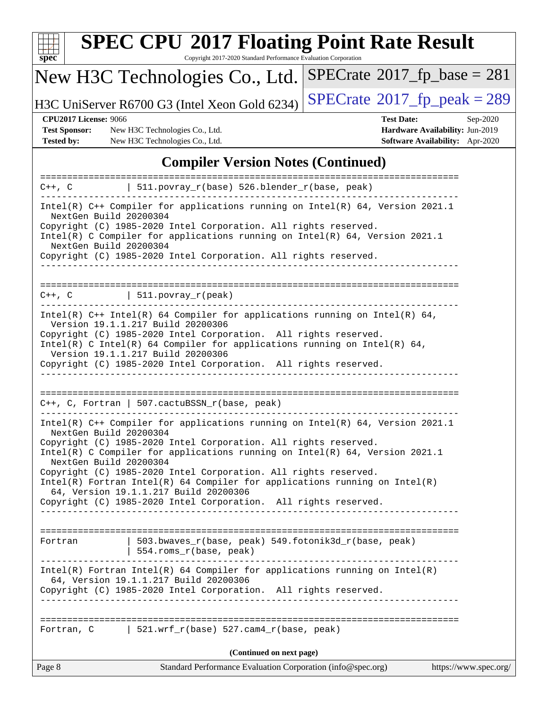

# **[SPEC CPU](http://www.spec.org/auto/cpu2017/Docs/result-fields.html#SPECCPU2017FloatingPointRateResult)[2017 Floating Point Rate Result](http://www.spec.org/auto/cpu2017/Docs/result-fields.html#SPECCPU2017FloatingPointRateResult)**

Copyright 2017-2020 Standard Performance Evaluation Corporation

## New H3C Technologies Co., Ltd.

H3C UniServer R6700 G3 (Intel Xeon Gold 6234) [SPECrate](http://www.spec.org/auto/cpu2017/Docs/result-fields.html#SPECrate2017fppeak)®[2017\\_fp\\_peak = 2](http://www.spec.org/auto/cpu2017/Docs/result-fields.html#SPECrate2017fppeak)89

 $SPECTate$ <sup>®</sup>[2017\\_fp\\_base =](http://www.spec.org/auto/cpu2017/Docs/result-fields.html#SPECrate2017fpbase) 281

**[Test Sponsor:](http://www.spec.org/auto/cpu2017/Docs/result-fields.html#TestSponsor)** New H3C Technologies Co., Ltd. **[Hardware Availability:](http://www.spec.org/auto/cpu2017/Docs/result-fields.html#HardwareAvailability)** Jun-2019 **[Tested by:](http://www.spec.org/auto/cpu2017/Docs/result-fields.html#Testedby)** New H3C Technologies Co., Ltd. **[Software Availability:](http://www.spec.org/auto/cpu2017/Docs/result-fields.html#SoftwareAvailability)** Apr-2020

**[CPU2017 License:](http://www.spec.org/auto/cpu2017/Docs/result-fields.html#CPU2017License)** 9066 **[Test Date:](http://www.spec.org/auto/cpu2017/Docs/result-fields.html#TestDate)** Sep-2020

#### **[Compiler Version Notes \(Continued\)](http://www.spec.org/auto/cpu2017/Docs/result-fields.html#CompilerVersionNotes)**

|                                                                                                                                                                                                                                                                                                                                                             | $C++$ , C $\qquad$   511.povray_r(base) 526.blender_r(base, peak)                                                                                                                                                                                                                                                                                                                                                                                                                                                        |                       |  |  |
|-------------------------------------------------------------------------------------------------------------------------------------------------------------------------------------------------------------------------------------------------------------------------------------------------------------------------------------------------------------|--------------------------------------------------------------------------------------------------------------------------------------------------------------------------------------------------------------------------------------------------------------------------------------------------------------------------------------------------------------------------------------------------------------------------------------------------------------------------------------------------------------------------|-----------------------|--|--|
| Intel(R) $C++$ Compiler for applications running on Intel(R) 64, Version 2021.1<br>NextGen Build 20200304<br>Copyright (C) 1985-2020 Intel Corporation. All rights reserved.<br>Intel(R) C Compiler for applications running on $Intel(R) 64$ , Version 2021.1<br>NextGen Build 20200304<br>Copyright (C) 1985-2020 Intel Corporation. All rights reserved. |                                                                                                                                                                                                                                                                                                                                                                                                                                                                                                                          |                       |  |  |
|                                                                                                                                                                                                                                                                                                                                                             | $C++$ , $C$   511.povray_r(peak)                                                                                                                                                                                                                                                                                                                                                                                                                                                                                         |                       |  |  |
|                                                                                                                                                                                                                                                                                                                                                             | Intel(R) $C++$ Intel(R) 64 Compiler for applications running on Intel(R) 64,<br>Version 19.1.1.217 Build 20200306<br>Copyright (C) 1985-2020 Intel Corporation. All rights reserved.<br>Intel(R) C Intel(R) 64 Compiler for applications running on Intel(R) 64,<br>Version 19.1.1.217 Build 20200306<br>Copyright (C) 1985-2020 Intel Corporation. All rights reserved.                                                                                                                                                 |                       |  |  |
|                                                                                                                                                                                                                                                                                                                                                             | $C++$ , C, Fortran   507.cactuBSSN_r(base, peak)                                                                                                                                                                                                                                                                                                                                                                                                                                                                         |                       |  |  |
| ______________________<br>NextGen Build 20200304<br>NextGen Build 20200304                                                                                                                                                                                                                                                                                  | Intel(R) C++ Compiler for applications running on Intel(R) $64$ , Version 2021.1<br>Copyright (C) 1985-2020 Intel Corporation. All rights reserved.<br>Intel(R) C Compiler for applications running on $Intel(R) 64$ , Version 2021.1<br>Copyright (C) 1985-2020 Intel Corporation. All rights reserved.<br>$Intel(R)$ Fortran Intel(R) 64 Compiler for applications running on Intel(R)<br>64, Version 19.1.1.217 Build 20200306<br>Copyright (C) 1985-2020 Intel Corporation. All rights reserved.<br>________________ |                       |  |  |
| Fortran                                                                                                                                                                                                                                                                                                                                                     | 503.bwaves_r(base, peak) 549.fotonik3d_r(base, peak)<br>  554.roms_r(base, peak)                                                                                                                                                                                                                                                                                                                                                                                                                                         |                       |  |  |
|                                                                                                                                                                                                                                                                                                                                                             | $Intel(R)$ Fortran Intel(R) 64 Compiler for applications running on $Intel(R)$<br>64, Version 19.1.1.217 Build 20200306<br>Copyright (C) 1985-2020 Intel Corporation. All rights reserved.<br>_____________                                                                                                                                                                                                                                                                                                              |                       |  |  |
|                                                                                                                                                                                                                                                                                                                                                             | Fortran, C $\vert$ 521.wrf_r(base) 527.cam4_r(base, peak)                                                                                                                                                                                                                                                                                                                                                                                                                                                                |                       |  |  |
|                                                                                                                                                                                                                                                                                                                                                             | (Continued on next page)                                                                                                                                                                                                                                                                                                                                                                                                                                                                                                 |                       |  |  |
| Page 8                                                                                                                                                                                                                                                                                                                                                      | Standard Performance Evaluation Corporation (info@spec.org)                                                                                                                                                                                                                                                                                                                                                                                                                                                              | https://www.spec.org/ |  |  |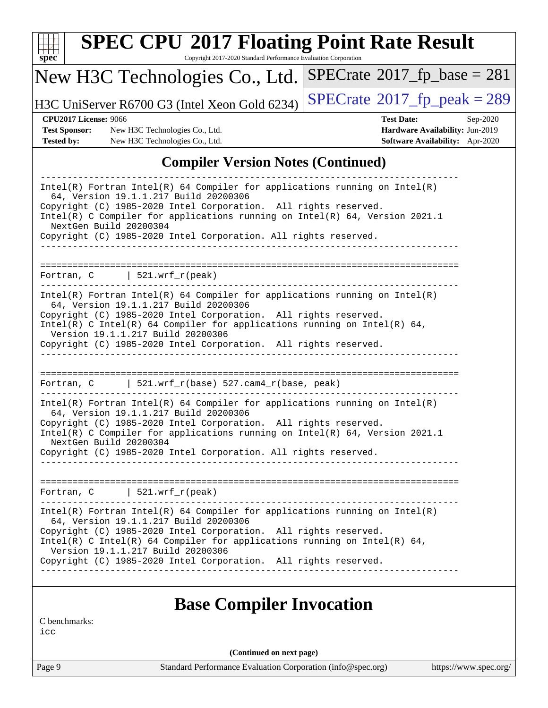| $Spec^*$                                                                  | Copyright 2017-2020 Standard Performance Evaluation Corporation<br>New H3C Technologies Co., Ltd.                                                                                                                                                                                                                                                                                                                       | $SPECrate^{\circ}2017$ _fp_base = 281                                                                      |
|---------------------------------------------------------------------------|-------------------------------------------------------------------------------------------------------------------------------------------------------------------------------------------------------------------------------------------------------------------------------------------------------------------------------------------------------------------------------------------------------------------------|------------------------------------------------------------------------------------------------------------|
|                                                                           | H3C UniServer R6700 G3 (Intel Xeon Gold 6234)                                                                                                                                                                                                                                                                                                                                                                           | $SPECTate@2017_fp\_peak = 289$                                                                             |
| <b>CPU2017 License: 9066</b><br><b>Test Sponsor:</b><br><b>Tested by:</b> | New H3C Technologies Co., Ltd.<br>New H3C Technologies Co., Ltd.                                                                                                                                                                                                                                                                                                                                                        | <b>Test Date:</b><br>Sep-2020<br>Hardware Availability: Jun-2019<br><b>Software Availability:</b> Apr-2020 |
|                                                                           | <b>Compiler Version Notes (Continued)</b>                                                                                                                                                                                                                                                                                                                                                                               |                                                                                                            |
|                                                                           | Intel(R) C Compiler for applications running on Intel(R) 64, Version 2021.1<br>NextGen Build 20200304<br>Copyright (C) 1985-2020 Intel Corporation. All rights reserved.                                                                                                                                                                                                                                                |                                                                                                            |
|                                                                           | Fortran, $C$   521.wrf_r(peak)                                                                                                                                                                                                                                                                                                                                                                                          |                                                                                                            |
|                                                                           | $Intel(R)$ Fortran Intel(R) 64 Compiler for applications running on Intel(R)<br>64, Version 19.1.1.217 Build 20200306<br>Copyright (C) 1985-2020 Intel Corporation. All rights reserved.<br>$Intel(R)$ C Intel(R) 64 Compiler for applications running on Intel(R) 64,<br>Version 19.1.1.217 Build 20200306<br>Copyright (C) 1985-2020 Intel Corporation. All rights reserved.<br>_____________________________________ |                                                                                                            |
|                                                                           |                                                                                                                                                                                                                                                                                                                                                                                                                         |                                                                                                            |
|                                                                           | Fortran, $C$   521.wrf_r(base) 527.cam4_r(base, peak)                                                                                                                                                                                                                                                                                                                                                                   |                                                                                                            |

 NextGen Build 20200304 Copyright (C) 1985-2020 Intel Corporation. All rights reserved. ------------------------------------------------------------------------------

============================================================================== Fortran, C | 521.wrf\_r(peak) ------------------------------------------------------------------------------ Intel(R) Fortran Intel(R) 64 Compiler for applications running on Intel(R) 64, Version 19.1.1.217 Build 20200306 Copyright (C) 1985-2020 Intel Corporation. All rights reserved. Intel(R) C Intel(R) 64 Compiler for applications running on Intel(R)  $64$ , Version 19.1.1.217 Build 20200306 Copyright (C) 1985-2020 Intel Corporation. All rights reserved. ------------------------------------------------------------------------------

### **[Base Compiler Invocation](http://www.spec.org/auto/cpu2017/Docs/result-fields.html#BaseCompilerInvocation)**

[C benchmarks:](http://www.spec.org/auto/cpu2017/Docs/result-fields.html#Cbenchmarks)

[icc](http://www.spec.org/cpu2017/results/res2020q4/cpu2017-20200927-24024.flags.html#user_CCbase_intel_icc_66fc1ee009f7361af1fbd72ca7dcefbb700085f36577c54f309893dd4ec40d12360134090235512931783d35fd58c0460139e722d5067c5574d8eaf2b3e37e92)

**(Continued on next page)**

Page 9 Standard Performance Evaluation Corporation [\(info@spec.org\)](mailto:info@spec.org) <https://www.spec.org/>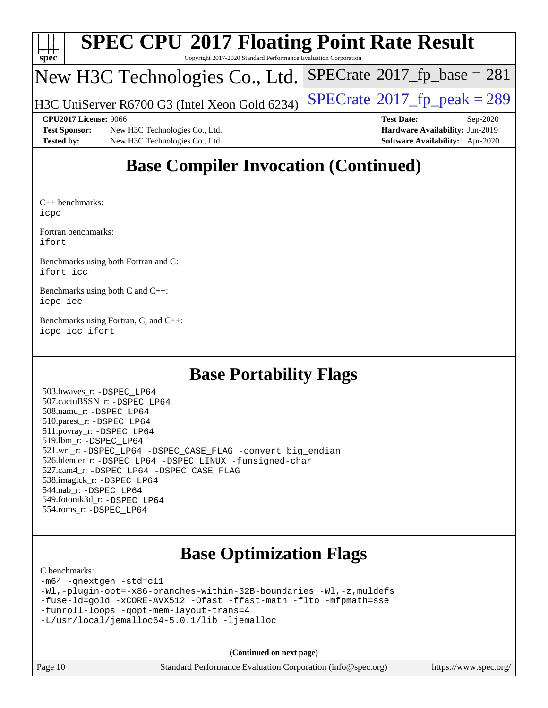

# **[SPEC CPU](http://www.spec.org/auto/cpu2017/Docs/result-fields.html#SPECCPU2017FloatingPointRateResult)[2017 Floating Point Rate Result](http://www.spec.org/auto/cpu2017/Docs/result-fields.html#SPECCPU2017FloatingPointRateResult)**

Copyright 2017-2020 Standard Performance Evaluation Corporation

### New H3C Technologies Co., Ltd.

H3C UniServer R6700 G3 (Intel Xeon Gold 6234)  $\vert$  [SPECrate](http://www.spec.org/auto/cpu2017/Docs/result-fields.html#SPECrate2017fppeak)®[2017\\_fp\\_peak = 2](http://www.spec.org/auto/cpu2017/Docs/result-fields.html#SPECrate2017fppeak)89

 $SPECTate@2017_fp\_base = 281$ 

**[Test Sponsor:](http://www.spec.org/auto/cpu2017/Docs/result-fields.html#TestSponsor)** New H3C Technologies Co., Ltd. **[Hardware Availability:](http://www.spec.org/auto/cpu2017/Docs/result-fields.html#HardwareAvailability)** Jun-2019 **[Tested by:](http://www.spec.org/auto/cpu2017/Docs/result-fields.html#Testedby)** New H3C Technologies Co., Ltd. **[Software Availability:](http://www.spec.org/auto/cpu2017/Docs/result-fields.html#SoftwareAvailability)** Apr-2020

**[CPU2017 License:](http://www.spec.org/auto/cpu2017/Docs/result-fields.html#CPU2017License)** 9066 **[Test Date:](http://www.spec.org/auto/cpu2017/Docs/result-fields.html#TestDate)** Sep-2020

## **[Base Compiler Invocation \(Continued\)](http://www.spec.org/auto/cpu2017/Docs/result-fields.html#BaseCompilerInvocation)**

[C++ benchmarks](http://www.spec.org/auto/cpu2017/Docs/result-fields.html#CXXbenchmarks): [icpc](http://www.spec.org/cpu2017/results/res2020q4/cpu2017-20200927-24024.flags.html#user_CXXbase_intel_icpc_c510b6838c7f56d33e37e94d029a35b4a7bccf4766a728ee175e80a419847e808290a9b78be685c44ab727ea267ec2f070ec5dc83b407c0218cded6866a35d07)

[Fortran benchmarks](http://www.spec.org/auto/cpu2017/Docs/result-fields.html#Fortranbenchmarks): [ifort](http://www.spec.org/cpu2017/results/res2020q4/cpu2017-20200927-24024.flags.html#user_FCbase_intel_ifort_8111460550e3ca792625aed983ce982f94888b8b503583aa7ba2b8303487b4d8a21a13e7191a45c5fd58ff318f48f9492884d4413fa793fd88dd292cad7027ca)

[Benchmarks using both Fortran and C:](http://www.spec.org/auto/cpu2017/Docs/result-fields.html#BenchmarksusingbothFortranandC) [ifort](http://www.spec.org/cpu2017/results/res2020q4/cpu2017-20200927-24024.flags.html#user_CC_FCbase_intel_ifort_8111460550e3ca792625aed983ce982f94888b8b503583aa7ba2b8303487b4d8a21a13e7191a45c5fd58ff318f48f9492884d4413fa793fd88dd292cad7027ca) [icc](http://www.spec.org/cpu2017/results/res2020q4/cpu2017-20200927-24024.flags.html#user_CC_FCbase_intel_icc_66fc1ee009f7361af1fbd72ca7dcefbb700085f36577c54f309893dd4ec40d12360134090235512931783d35fd58c0460139e722d5067c5574d8eaf2b3e37e92)

[Benchmarks using both C and C++](http://www.spec.org/auto/cpu2017/Docs/result-fields.html#BenchmarksusingbothCandCXX): [icpc](http://www.spec.org/cpu2017/results/res2020q4/cpu2017-20200927-24024.flags.html#user_CC_CXXbase_intel_icpc_c510b6838c7f56d33e37e94d029a35b4a7bccf4766a728ee175e80a419847e808290a9b78be685c44ab727ea267ec2f070ec5dc83b407c0218cded6866a35d07) [icc](http://www.spec.org/cpu2017/results/res2020q4/cpu2017-20200927-24024.flags.html#user_CC_CXXbase_intel_icc_66fc1ee009f7361af1fbd72ca7dcefbb700085f36577c54f309893dd4ec40d12360134090235512931783d35fd58c0460139e722d5067c5574d8eaf2b3e37e92)

[Benchmarks using Fortran, C, and C++:](http://www.spec.org/auto/cpu2017/Docs/result-fields.html#BenchmarksusingFortranCandCXX) [icpc](http://www.spec.org/cpu2017/results/res2020q4/cpu2017-20200927-24024.flags.html#user_CC_CXX_FCbase_intel_icpc_c510b6838c7f56d33e37e94d029a35b4a7bccf4766a728ee175e80a419847e808290a9b78be685c44ab727ea267ec2f070ec5dc83b407c0218cded6866a35d07) [icc](http://www.spec.org/cpu2017/results/res2020q4/cpu2017-20200927-24024.flags.html#user_CC_CXX_FCbase_intel_icc_66fc1ee009f7361af1fbd72ca7dcefbb700085f36577c54f309893dd4ec40d12360134090235512931783d35fd58c0460139e722d5067c5574d8eaf2b3e37e92) [ifort](http://www.spec.org/cpu2017/results/res2020q4/cpu2017-20200927-24024.flags.html#user_CC_CXX_FCbase_intel_ifort_8111460550e3ca792625aed983ce982f94888b8b503583aa7ba2b8303487b4d8a21a13e7191a45c5fd58ff318f48f9492884d4413fa793fd88dd292cad7027ca)

### **[Base Portability Flags](http://www.spec.org/auto/cpu2017/Docs/result-fields.html#BasePortabilityFlags)**

 503.bwaves\_r: [-DSPEC\\_LP64](http://www.spec.org/cpu2017/results/res2020q4/cpu2017-20200927-24024.flags.html#suite_basePORTABILITY503_bwaves_r_DSPEC_LP64) 507.cactuBSSN\_r: [-DSPEC\\_LP64](http://www.spec.org/cpu2017/results/res2020q4/cpu2017-20200927-24024.flags.html#suite_basePORTABILITY507_cactuBSSN_r_DSPEC_LP64) 508.namd\_r: [-DSPEC\\_LP64](http://www.spec.org/cpu2017/results/res2020q4/cpu2017-20200927-24024.flags.html#suite_basePORTABILITY508_namd_r_DSPEC_LP64) 510.parest\_r: [-DSPEC\\_LP64](http://www.spec.org/cpu2017/results/res2020q4/cpu2017-20200927-24024.flags.html#suite_basePORTABILITY510_parest_r_DSPEC_LP64) 511.povray\_r: [-DSPEC\\_LP64](http://www.spec.org/cpu2017/results/res2020q4/cpu2017-20200927-24024.flags.html#suite_basePORTABILITY511_povray_r_DSPEC_LP64) 519.lbm\_r: [-DSPEC\\_LP64](http://www.spec.org/cpu2017/results/res2020q4/cpu2017-20200927-24024.flags.html#suite_basePORTABILITY519_lbm_r_DSPEC_LP64) 521.wrf\_r: [-DSPEC\\_LP64](http://www.spec.org/cpu2017/results/res2020q4/cpu2017-20200927-24024.flags.html#suite_basePORTABILITY521_wrf_r_DSPEC_LP64) [-DSPEC\\_CASE\\_FLAG](http://www.spec.org/cpu2017/results/res2020q4/cpu2017-20200927-24024.flags.html#b521.wrf_r_baseCPORTABILITY_DSPEC_CASE_FLAG) [-convert big\\_endian](http://www.spec.org/cpu2017/results/res2020q4/cpu2017-20200927-24024.flags.html#user_baseFPORTABILITY521_wrf_r_convert_big_endian_c3194028bc08c63ac5d04de18c48ce6d347e4e562e8892b8bdbdc0214820426deb8554edfa529a3fb25a586e65a3d812c835984020483e7e73212c4d31a38223) 526.blender\_r: [-DSPEC\\_LP64](http://www.spec.org/cpu2017/results/res2020q4/cpu2017-20200927-24024.flags.html#suite_basePORTABILITY526_blender_r_DSPEC_LP64) [-DSPEC\\_LINUX](http://www.spec.org/cpu2017/results/res2020q4/cpu2017-20200927-24024.flags.html#b526.blender_r_baseCPORTABILITY_DSPEC_LINUX) [-funsigned-char](http://www.spec.org/cpu2017/results/res2020q4/cpu2017-20200927-24024.flags.html#user_baseCPORTABILITY526_blender_r_force_uchar_40c60f00ab013830e2dd6774aeded3ff59883ba5a1fc5fc14077f794d777847726e2a5858cbc7672e36e1b067e7e5c1d9a74f7176df07886a243d7cc18edfe67) 527.cam4\_r: [-DSPEC\\_LP64](http://www.spec.org/cpu2017/results/res2020q4/cpu2017-20200927-24024.flags.html#suite_basePORTABILITY527_cam4_r_DSPEC_LP64) [-DSPEC\\_CASE\\_FLAG](http://www.spec.org/cpu2017/results/res2020q4/cpu2017-20200927-24024.flags.html#b527.cam4_r_baseCPORTABILITY_DSPEC_CASE_FLAG) 538.imagick\_r: [-DSPEC\\_LP64](http://www.spec.org/cpu2017/results/res2020q4/cpu2017-20200927-24024.flags.html#suite_basePORTABILITY538_imagick_r_DSPEC_LP64) 544.nab\_r: [-DSPEC\\_LP64](http://www.spec.org/cpu2017/results/res2020q4/cpu2017-20200927-24024.flags.html#suite_basePORTABILITY544_nab_r_DSPEC_LP64) 549.fotonik3d\_r: [-DSPEC\\_LP64](http://www.spec.org/cpu2017/results/res2020q4/cpu2017-20200927-24024.flags.html#suite_basePORTABILITY549_fotonik3d_r_DSPEC_LP64) 554.roms\_r: [-DSPEC\\_LP64](http://www.spec.org/cpu2017/results/res2020q4/cpu2017-20200927-24024.flags.html#suite_basePORTABILITY554_roms_r_DSPEC_LP64)

### **[Base Optimization Flags](http://www.spec.org/auto/cpu2017/Docs/result-fields.html#BaseOptimizationFlags)**

#### [C benchmarks](http://www.spec.org/auto/cpu2017/Docs/result-fields.html#Cbenchmarks):

```
-m64 -qnextgen -std=c11
-Wl,-plugin-opt=-x86-branches-within-32B-boundaries -Wl,-z,muldefs
-fuse-ld=gold -xCORE-AVX512 -Ofast -ffast-math -flto -mfpmath=sse
-funroll-loops -qopt-mem-layout-trans=4
-L/usr/local/jemalloc64-5.0.1/lib -ljemalloc
```
**(Continued on next page)**

|  | Page 10 | <b>Standard Performance Evaluation Corporation</b> |
|--|---------|----------------------------------------------------|
|--|---------|----------------------------------------------------|

 $(info@spec.org)$  <https://www.spec.org/>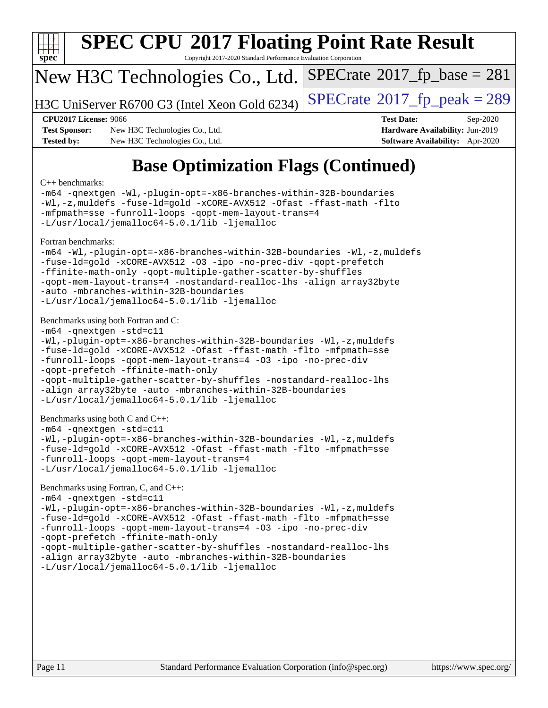

# **[SPEC CPU](http://www.spec.org/auto/cpu2017/Docs/result-fields.html#SPECCPU2017FloatingPointRateResult)[2017 Floating Point Rate Result](http://www.spec.org/auto/cpu2017/Docs/result-fields.html#SPECCPU2017FloatingPointRateResult)**

Copyright 2017-2020 Standard Performance Evaluation Corporation

### New H3C Technologies Co., Ltd.

H3C UniServer R6700 G3 (Intel Xeon Gold 6234) [SPECrate](http://www.spec.org/auto/cpu2017/Docs/result-fields.html#SPECrate2017fppeak)®[2017\\_fp\\_peak = 2](http://www.spec.org/auto/cpu2017/Docs/result-fields.html#SPECrate2017fppeak)89

 $SPECTate@2017_fp\_base = 281$ 

**[Test Sponsor:](http://www.spec.org/auto/cpu2017/Docs/result-fields.html#TestSponsor)** New H3C Technologies Co., Ltd. **[Hardware Availability:](http://www.spec.org/auto/cpu2017/Docs/result-fields.html#HardwareAvailability)** Jun-2019 **[Tested by:](http://www.spec.org/auto/cpu2017/Docs/result-fields.html#Testedby)** New H3C Technologies Co., Ltd. **[Software Availability:](http://www.spec.org/auto/cpu2017/Docs/result-fields.html#SoftwareAvailability)** Apr-2020

**[CPU2017 License:](http://www.spec.org/auto/cpu2017/Docs/result-fields.html#CPU2017License)** 9066 **[Test Date:](http://www.spec.org/auto/cpu2017/Docs/result-fields.html#TestDate)** Sep-2020

## **[Base Optimization Flags \(Continued\)](http://www.spec.org/auto/cpu2017/Docs/result-fields.html#BaseOptimizationFlags)**

#### [C++ benchmarks:](http://www.spec.org/auto/cpu2017/Docs/result-fields.html#CXXbenchmarks)

[-m64](http://www.spec.org/cpu2017/results/res2020q4/cpu2017-20200927-24024.flags.html#user_CXXbase_m64-icc) [-qnextgen](http://www.spec.org/cpu2017/results/res2020q4/cpu2017-20200927-24024.flags.html#user_CXXbase_f-qnextgen) [-Wl,-plugin-opt=-x86-branches-within-32B-boundaries](http://www.spec.org/cpu2017/results/res2020q4/cpu2017-20200927-24024.flags.html#user_CXXbase_f-x86-branches-within-32B-boundaries_0098b4e4317ae60947b7b728078a624952a08ac37a3c797dfb4ffeb399e0c61a9dd0f2f44ce917e9361fb9076ccb15e7824594512dd315205382d84209e912f3) [-Wl,-z,muldefs](http://www.spec.org/cpu2017/results/res2020q4/cpu2017-20200927-24024.flags.html#user_CXXbase_link_force_multiple1_b4cbdb97b34bdee9ceefcfe54f4c8ea74255f0b02a4b23e853cdb0e18eb4525ac79b5a88067c842dd0ee6996c24547a27a4b99331201badda8798ef8a743f577) [-fuse-ld=gold](http://www.spec.org/cpu2017/results/res2020q4/cpu2017-20200927-24024.flags.html#user_CXXbase_f-fuse-ld_920b3586e2b8c6e0748b9c84fa9b744736ba725a32cab14ad8f3d4ad28eecb2f59d1144823d2e17006539a88734fe1fc08fc3035f7676166309105a78aaabc32) [-xCORE-AVX512](http://www.spec.org/cpu2017/results/res2020q4/cpu2017-20200927-24024.flags.html#user_CXXbase_f-xCORE-AVX512) [-Ofast](http://www.spec.org/cpu2017/results/res2020q4/cpu2017-20200927-24024.flags.html#user_CXXbase_f-Ofast) [-ffast-math](http://www.spec.org/cpu2017/results/res2020q4/cpu2017-20200927-24024.flags.html#user_CXXbase_f-ffast-math) [-flto](http://www.spec.org/cpu2017/results/res2020q4/cpu2017-20200927-24024.flags.html#user_CXXbase_f-flto) [-mfpmath=sse](http://www.spec.org/cpu2017/results/res2020q4/cpu2017-20200927-24024.flags.html#user_CXXbase_f-mfpmath_70eb8fac26bde974f8ab713bc9086c5621c0b8d2f6c86f38af0bd7062540daf19db5f3a066d8c6684be05d84c9b6322eb3b5be6619d967835195b93d6c02afa1) [-funroll-loops](http://www.spec.org/cpu2017/results/res2020q4/cpu2017-20200927-24024.flags.html#user_CXXbase_f-funroll-loops) [-qopt-mem-layout-trans=4](http://www.spec.org/cpu2017/results/res2020q4/cpu2017-20200927-24024.flags.html#user_CXXbase_f-qopt-mem-layout-trans_fa39e755916c150a61361b7846f310bcdf6f04e385ef281cadf3647acec3f0ae266d1a1d22d972a7087a248fd4e6ca390a3634700869573d231a252c784941a8) [-L/usr/local/jemalloc64-5.0.1/lib](http://www.spec.org/cpu2017/results/res2020q4/cpu2017-20200927-24024.flags.html#user_CXXbase_jemalloc_link_path64_1_cc289568b1a6c0fd3b62c91b824c27fcb5af5e8098e6ad028160d21144ef1b8aef3170d2acf0bee98a8da324cfe4f67d0a3d0c4cc4673d993d694dc2a0df248b) [-ljemalloc](http://www.spec.org/cpu2017/results/res2020q4/cpu2017-20200927-24024.flags.html#user_CXXbase_jemalloc_link_lib_d1249b907c500fa1c0672f44f562e3d0f79738ae9e3c4a9c376d49f265a04b9c99b167ecedbf6711b3085be911c67ff61f150a17b3472be731631ba4d0471706) [Fortran benchmarks](http://www.spec.org/auto/cpu2017/Docs/result-fields.html#Fortranbenchmarks): [-m64](http://www.spec.org/cpu2017/results/res2020q4/cpu2017-20200927-24024.flags.html#user_FCbase_m64-icc) [-Wl,-plugin-opt=-x86-branches-within-32B-boundaries](http://www.spec.org/cpu2017/results/res2020q4/cpu2017-20200927-24024.flags.html#user_FCbase_f-x86-branches-within-32B-boundaries_0098b4e4317ae60947b7b728078a624952a08ac37a3c797dfb4ffeb399e0c61a9dd0f2f44ce917e9361fb9076ccb15e7824594512dd315205382d84209e912f3) [-Wl,-z,muldefs](http://www.spec.org/cpu2017/results/res2020q4/cpu2017-20200927-24024.flags.html#user_FCbase_link_force_multiple1_b4cbdb97b34bdee9ceefcfe54f4c8ea74255f0b02a4b23e853cdb0e18eb4525ac79b5a88067c842dd0ee6996c24547a27a4b99331201badda8798ef8a743f577) [-fuse-ld=gold](http://www.spec.org/cpu2017/results/res2020q4/cpu2017-20200927-24024.flags.html#user_FCbase_f-fuse-ld_920b3586e2b8c6e0748b9c84fa9b744736ba725a32cab14ad8f3d4ad28eecb2f59d1144823d2e17006539a88734fe1fc08fc3035f7676166309105a78aaabc32) [-xCORE-AVX512](http://www.spec.org/cpu2017/results/res2020q4/cpu2017-20200927-24024.flags.html#user_FCbase_f-xCORE-AVX512) [-O3](http://www.spec.org/cpu2017/results/res2020q4/cpu2017-20200927-24024.flags.html#user_FCbase_f-O3) [-ipo](http://www.spec.org/cpu2017/results/res2020q4/cpu2017-20200927-24024.flags.html#user_FCbase_f-ipo) [-no-prec-div](http://www.spec.org/cpu2017/results/res2020q4/cpu2017-20200927-24024.flags.html#user_FCbase_f-no-prec-div) [-qopt-prefetch](http://www.spec.org/cpu2017/results/res2020q4/cpu2017-20200927-24024.flags.html#user_FCbase_f-qopt-prefetch) [-ffinite-math-only](http://www.spec.org/cpu2017/results/res2020q4/cpu2017-20200927-24024.flags.html#user_FCbase_f_finite_math_only_cb91587bd2077682c4b38af759c288ed7c732db004271a9512da14a4f8007909a5f1427ecbf1a0fb78ff2a814402c6114ac565ca162485bbcae155b5e4258871) [-qopt-multiple-gather-scatter-by-shuffles](http://www.spec.org/cpu2017/results/res2020q4/cpu2017-20200927-24024.flags.html#user_FCbase_f-qopt-multiple-gather-scatter-by-shuffles) [-qopt-mem-layout-trans=4](http://www.spec.org/cpu2017/results/res2020q4/cpu2017-20200927-24024.flags.html#user_FCbase_f-qopt-mem-layout-trans_fa39e755916c150a61361b7846f310bcdf6f04e385ef281cadf3647acec3f0ae266d1a1d22d972a7087a248fd4e6ca390a3634700869573d231a252c784941a8) [-nostandard-realloc-lhs](http://www.spec.org/cpu2017/results/res2020q4/cpu2017-20200927-24024.flags.html#user_FCbase_f_2003_std_realloc_82b4557e90729c0f113870c07e44d33d6f5a304b4f63d4c15d2d0f1fab99f5daaed73bdb9275d9ae411527f28b936061aa8b9c8f2d63842963b95c9dd6426b8a) [-align array32byte](http://www.spec.org/cpu2017/results/res2020q4/cpu2017-20200927-24024.flags.html#user_FCbase_align_array32byte_b982fe038af199962ba9a80c053b8342c548c85b40b8e86eb3cc33dee0d7986a4af373ac2d51c3f7cf710a18d62fdce2948f201cd044323541f22fc0fffc51b6) [-auto](http://www.spec.org/cpu2017/results/res2020q4/cpu2017-20200927-24024.flags.html#user_FCbase_f-auto) [-mbranches-within-32B-boundaries](http://www.spec.org/cpu2017/results/res2020q4/cpu2017-20200927-24024.flags.html#user_FCbase_f-mbranches-within-32B-boundaries) [-L/usr/local/jemalloc64-5.0.1/lib](http://www.spec.org/cpu2017/results/res2020q4/cpu2017-20200927-24024.flags.html#user_FCbase_jemalloc_link_path64_1_cc289568b1a6c0fd3b62c91b824c27fcb5af5e8098e6ad028160d21144ef1b8aef3170d2acf0bee98a8da324cfe4f67d0a3d0c4cc4673d993d694dc2a0df248b) [-ljemalloc](http://www.spec.org/cpu2017/results/res2020q4/cpu2017-20200927-24024.flags.html#user_FCbase_jemalloc_link_lib_d1249b907c500fa1c0672f44f562e3d0f79738ae9e3c4a9c376d49f265a04b9c99b167ecedbf6711b3085be911c67ff61f150a17b3472be731631ba4d0471706) [Benchmarks using both Fortran and C](http://www.spec.org/auto/cpu2017/Docs/result-fields.html#BenchmarksusingbothFortranandC): [-m64](http://www.spec.org/cpu2017/results/res2020q4/cpu2017-20200927-24024.flags.html#user_CC_FCbase_m64-icc) [-qnextgen](http://www.spec.org/cpu2017/results/res2020q4/cpu2017-20200927-24024.flags.html#user_CC_FCbase_f-qnextgen) [-std=c11](http://www.spec.org/cpu2017/results/res2020q4/cpu2017-20200927-24024.flags.html#user_CC_FCbase_std-icc-std_0e1c27790398a4642dfca32ffe6c27b5796f9c2d2676156f2e42c9c44eaad0c049b1cdb667a270c34d979996257aeb8fc440bfb01818dbc9357bd9d174cb8524) [-Wl,-plugin-opt=-x86-branches-within-32B-boundaries](http://www.spec.org/cpu2017/results/res2020q4/cpu2017-20200927-24024.flags.html#user_CC_FCbase_f-x86-branches-within-32B-boundaries_0098b4e4317ae60947b7b728078a624952a08ac37a3c797dfb4ffeb399e0c61a9dd0f2f44ce917e9361fb9076ccb15e7824594512dd315205382d84209e912f3) [-Wl,-z,muldefs](http://www.spec.org/cpu2017/results/res2020q4/cpu2017-20200927-24024.flags.html#user_CC_FCbase_link_force_multiple1_b4cbdb97b34bdee9ceefcfe54f4c8ea74255f0b02a4b23e853cdb0e18eb4525ac79b5a88067c842dd0ee6996c24547a27a4b99331201badda8798ef8a743f577) [-fuse-ld=gold](http://www.spec.org/cpu2017/results/res2020q4/cpu2017-20200927-24024.flags.html#user_CC_FCbase_f-fuse-ld_920b3586e2b8c6e0748b9c84fa9b744736ba725a32cab14ad8f3d4ad28eecb2f59d1144823d2e17006539a88734fe1fc08fc3035f7676166309105a78aaabc32) [-xCORE-AVX512](http://www.spec.org/cpu2017/results/res2020q4/cpu2017-20200927-24024.flags.html#user_CC_FCbase_f-xCORE-AVX512) [-Ofast](http://www.spec.org/cpu2017/results/res2020q4/cpu2017-20200927-24024.flags.html#user_CC_FCbase_f-Ofast) [-ffast-math](http://www.spec.org/cpu2017/results/res2020q4/cpu2017-20200927-24024.flags.html#user_CC_FCbase_f-ffast-math) [-flto](http://www.spec.org/cpu2017/results/res2020q4/cpu2017-20200927-24024.flags.html#user_CC_FCbase_f-flto) [-mfpmath=sse](http://www.spec.org/cpu2017/results/res2020q4/cpu2017-20200927-24024.flags.html#user_CC_FCbase_f-mfpmath_70eb8fac26bde974f8ab713bc9086c5621c0b8d2f6c86f38af0bd7062540daf19db5f3a066d8c6684be05d84c9b6322eb3b5be6619d967835195b93d6c02afa1) [-funroll-loops](http://www.spec.org/cpu2017/results/res2020q4/cpu2017-20200927-24024.flags.html#user_CC_FCbase_f-funroll-loops) [-qopt-mem-layout-trans=4](http://www.spec.org/cpu2017/results/res2020q4/cpu2017-20200927-24024.flags.html#user_CC_FCbase_f-qopt-mem-layout-trans_fa39e755916c150a61361b7846f310bcdf6f04e385ef281cadf3647acec3f0ae266d1a1d22d972a7087a248fd4e6ca390a3634700869573d231a252c784941a8) [-O3](http://www.spec.org/cpu2017/results/res2020q4/cpu2017-20200927-24024.flags.html#user_CC_FCbase_f-O3) [-ipo](http://www.spec.org/cpu2017/results/res2020q4/cpu2017-20200927-24024.flags.html#user_CC_FCbase_f-ipo) [-no-prec-div](http://www.spec.org/cpu2017/results/res2020q4/cpu2017-20200927-24024.flags.html#user_CC_FCbase_f-no-prec-div) [-qopt-prefetch](http://www.spec.org/cpu2017/results/res2020q4/cpu2017-20200927-24024.flags.html#user_CC_FCbase_f-qopt-prefetch) [-ffinite-math-only](http://www.spec.org/cpu2017/results/res2020q4/cpu2017-20200927-24024.flags.html#user_CC_FCbase_f_finite_math_only_cb91587bd2077682c4b38af759c288ed7c732db004271a9512da14a4f8007909a5f1427ecbf1a0fb78ff2a814402c6114ac565ca162485bbcae155b5e4258871) [-qopt-multiple-gather-scatter-by-shuffles](http://www.spec.org/cpu2017/results/res2020q4/cpu2017-20200927-24024.flags.html#user_CC_FCbase_f-qopt-multiple-gather-scatter-by-shuffles) [-nostandard-realloc-lhs](http://www.spec.org/cpu2017/results/res2020q4/cpu2017-20200927-24024.flags.html#user_CC_FCbase_f_2003_std_realloc_82b4557e90729c0f113870c07e44d33d6f5a304b4f63d4c15d2d0f1fab99f5daaed73bdb9275d9ae411527f28b936061aa8b9c8f2d63842963b95c9dd6426b8a) [-align array32byte](http://www.spec.org/cpu2017/results/res2020q4/cpu2017-20200927-24024.flags.html#user_CC_FCbase_align_array32byte_b982fe038af199962ba9a80c053b8342c548c85b40b8e86eb3cc33dee0d7986a4af373ac2d51c3f7cf710a18d62fdce2948f201cd044323541f22fc0fffc51b6) [-auto](http://www.spec.org/cpu2017/results/res2020q4/cpu2017-20200927-24024.flags.html#user_CC_FCbase_f-auto) [-mbranches-within-32B-boundaries](http://www.spec.org/cpu2017/results/res2020q4/cpu2017-20200927-24024.flags.html#user_CC_FCbase_f-mbranches-within-32B-boundaries) [-L/usr/local/jemalloc64-5.0.1/lib](http://www.spec.org/cpu2017/results/res2020q4/cpu2017-20200927-24024.flags.html#user_CC_FCbase_jemalloc_link_path64_1_cc289568b1a6c0fd3b62c91b824c27fcb5af5e8098e6ad028160d21144ef1b8aef3170d2acf0bee98a8da324cfe4f67d0a3d0c4cc4673d993d694dc2a0df248b) [-ljemalloc](http://www.spec.org/cpu2017/results/res2020q4/cpu2017-20200927-24024.flags.html#user_CC_FCbase_jemalloc_link_lib_d1249b907c500fa1c0672f44f562e3d0f79738ae9e3c4a9c376d49f265a04b9c99b167ecedbf6711b3085be911c67ff61f150a17b3472be731631ba4d0471706) [Benchmarks using both C and C++](http://www.spec.org/auto/cpu2017/Docs/result-fields.html#BenchmarksusingbothCandCXX): [-m64](http://www.spec.org/cpu2017/results/res2020q4/cpu2017-20200927-24024.flags.html#user_CC_CXXbase_m64-icc) [-qnextgen](http://www.spec.org/cpu2017/results/res2020q4/cpu2017-20200927-24024.flags.html#user_CC_CXXbase_f-qnextgen) [-std=c11](http://www.spec.org/cpu2017/results/res2020q4/cpu2017-20200927-24024.flags.html#user_CC_CXXbase_std-icc-std_0e1c27790398a4642dfca32ffe6c27b5796f9c2d2676156f2e42c9c44eaad0c049b1cdb667a270c34d979996257aeb8fc440bfb01818dbc9357bd9d174cb8524) [-Wl,-plugin-opt=-x86-branches-within-32B-boundaries](http://www.spec.org/cpu2017/results/res2020q4/cpu2017-20200927-24024.flags.html#user_CC_CXXbase_f-x86-branches-within-32B-boundaries_0098b4e4317ae60947b7b728078a624952a08ac37a3c797dfb4ffeb399e0c61a9dd0f2f44ce917e9361fb9076ccb15e7824594512dd315205382d84209e912f3) [-Wl,-z,muldefs](http://www.spec.org/cpu2017/results/res2020q4/cpu2017-20200927-24024.flags.html#user_CC_CXXbase_link_force_multiple1_b4cbdb97b34bdee9ceefcfe54f4c8ea74255f0b02a4b23e853cdb0e18eb4525ac79b5a88067c842dd0ee6996c24547a27a4b99331201badda8798ef8a743f577) [-fuse-ld=gold](http://www.spec.org/cpu2017/results/res2020q4/cpu2017-20200927-24024.flags.html#user_CC_CXXbase_f-fuse-ld_920b3586e2b8c6e0748b9c84fa9b744736ba725a32cab14ad8f3d4ad28eecb2f59d1144823d2e17006539a88734fe1fc08fc3035f7676166309105a78aaabc32) [-xCORE-AVX512](http://www.spec.org/cpu2017/results/res2020q4/cpu2017-20200927-24024.flags.html#user_CC_CXXbase_f-xCORE-AVX512) [-Ofast](http://www.spec.org/cpu2017/results/res2020q4/cpu2017-20200927-24024.flags.html#user_CC_CXXbase_f-Ofast) [-ffast-math](http://www.spec.org/cpu2017/results/res2020q4/cpu2017-20200927-24024.flags.html#user_CC_CXXbase_f-ffast-math) [-flto](http://www.spec.org/cpu2017/results/res2020q4/cpu2017-20200927-24024.flags.html#user_CC_CXXbase_f-flto) [-mfpmath=sse](http://www.spec.org/cpu2017/results/res2020q4/cpu2017-20200927-24024.flags.html#user_CC_CXXbase_f-mfpmath_70eb8fac26bde974f8ab713bc9086c5621c0b8d2f6c86f38af0bd7062540daf19db5f3a066d8c6684be05d84c9b6322eb3b5be6619d967835195b93d6c02afa1) [-funroll-loops](http://www.spec.org/cpu2017/results/res2020q4/cpu2017-20200927-24024.flags.html#user_CC_CXXbase_f-funroll-loops) [-qopt-mem-layout-trans=4](http://www.spec.org/cpu2017/results/res2020q4/cpu2017-20200927-24024.flags.html#user_CC_CXXbase_f-qopt-mem-layout-trans_fa39e755916c150a61361b7846f310bcdf6f04e385ef281cadf3647acec3f0ae266d1a1d22d972a7087a248fd4e6ca390a3634700869573d231a252c784941a8) [-L/usr/local/jemalloc64-5.0.1/lib](http://www.spec.org/cpu2017/results/res2020q4/cpu2017-20200927-24024.flags.html#user_CC_CXXbase_jemalloc_link_path64_1_cc289568b1a6c0fd3b62c91b824c27fcb5af5e8098e6ad028160d21144ef1b8aef3170d2acf0bee98a8da324cfe4f67d0a3d0c4cc4673d993d694dc2a0df248b) [-ljemalloc](http://www.spec.org/cpu2017/results/res2020q4/cpu2017-20200927-24024.flags.html#user_CC_CXXbase_jemalloc_link_lib_d1249b907c500fa1c0672f44f562e3d0f79738ae9e3c4a9c376d49f265a04b9c99b167ecedbf6711b3085be911c67ff61f150a17b3472be731631ba4d0471706)

#### [Benchmarks using Fortran, C, and C++:](http://www.spec.org/auto/cpu2017/Docs/result-fields.html#BenchmarksusingFortranCandCXX)

[-m64](http://www.spec.org/cpu2017/results/res2020q4/cpu2017-20200927-24024.flags.html#user_CC_CXX_FCbase_m64-icc) [-qnextgen](http://www.spec.org/cpu2017/results/res2020q4/cpu2017-20200927-24024.flags.html#user_CC_CXX_FCbase_f-qnextgen) [-std=c11](http://www.spec.org/cpu2017/results/res2020q4/cpu2017-20200927-24024.flags.html#user_CC_CXX_FCbase_std-icc-std_0e1c27790398a4642dfca32ffe6c27b5796f9c2d2676156f2e42c9c44eaad0c049b1cdb667a270c34d979996257aeb8fc440bfb01818dbc9357bd9d174cb8524) [-Wl,-plugin-opt=-x86-branches-within-32B-boundaries](http://www.spec.org/cpu2017/results/res2020q4/cpu2017-20200927-24024.flags.html#user_CC_CXX_FCbase_f-x86-branches-within-32B-boundaries_0098b4e4317ae60947b7b728078a624952a08ac37a3c797dfb4ffeb399e0c61a9dd0f2f44ce917e9361fb9076ccb15e7824594512dd315205382d84209e912f3) [-Wl,-z,muldefs](http://www.spec.org/cpu2017/results/res2020q4/cpu2017-20200927-24024.flags.html#user_CC_CXX_FCbase_link_force_multiple1_b4cbdb97b34bdee9ceefcfe54f4c8ea74255f0b02a4b23e853cdb0e18eb4525ac79b5a88067c842dd0ee6996c24547a27a4b99331201badda8798ef8a743f577) [-fuse-ld=gold](http://www.spec.org/cpu2017/results/res2020q4/cpu2017-20200927-24024.flags.html#user_CC_CXX_FCbase_f-fuse-ld_920b3586e2b8c6e0748b9c84fa9b744736ba725a32cab14ad8f3d4ad28eecb2f59d1144823d2e17006539a88734fe1fc08fc3035f7676166309105a78aaabc32) [-xCORE-AVX512](http://www.spec.org/cpu2017/results/res2020q4/cpu2017-20200927-24024.flags.html#user_CC_CXX_FCbase_f-xCORE-AVX512) [-Ofast](http://www.spec.org/cpu2017/results/res2020q4/cpu2017-20200927-24024.flags.html#user_CC_CXX_FCbase_f-Ofast) [-ffast-math](http://www.spec.org/cpu2017/results/res2020q4/cpu2017-20200927-24024.flags.html#user_CC_CXX_FCbase_f-ffast-math) [-flto](http://www.spec.org/cpu2017/results/res2020q4/cpu2017-20200927-24024.flags.html#user_CC_CXX_FCbase_f-flto) [-mfpmath=sse](http://www.spec.org/cpu2017/results/res2020q4/cpu2017-20200927-24024.flags.html#user_CC_CXX_FCbase_f-mfpmath_70eb8fac26bde974f8ab713bc9086c5621c0b8d2f6c86f38af0bd7062540daf19db5f3a066d8c6684be05d84c9b6322eb3b5be6619d967835195b93d6c02afa1) [-funroll-loops](http://www.spec.org/cpu2017/results/res2020q4/cpu2017-20200927-24024.flags.html#user_CC_CXX_FCbase_f-funroll-loops) [-qopt-mem-layout-trans=4](http://www.spec.org/cpu2017/results/res2020q4/cpu2017-20200927-24024.flags.html#user_CC_CXX_FCbase_f-qopt-mem-layout-trans_fa39e755916c150a61361b7846f310bcdf6f04e385ef281cadf3647acec3f0ae266d1a1d22d972a7087a248fd4e6ca390a3634700869573d231a252c784941a8) [-O3](http://www.spec.org/cpu2017/results/res2020q4/cpu2017-20200927-24024.flags.html#user_CC_CXX_FCbase_f-O3) [-ipo](http://www.spec.org/cpu2017/results/res2020q4/cpu2017-20200927-24024.flags.html#user_CC_CXX_FCbase_f-ipo) [-no-prec-div](http://www.spec.org/cpu2017/results/res2020q4/cpu2017-20200927-24024.flags.html#user_CC_CXX_FCbase_f-no-prec-div) [-qopt-prefetch](http://www.spec.org/cpu2017/results/res2020q4/cpu2017-20200927-24024.flags.html#user_CC_CXX_FCbase_f-qopt-prefetch) [-ffinite-math-only](http://www.spec.org/cpu2017/results/res2020q4/cpu2017-20200927-24024.flags.html#user_CC_CXX_FCbase_f_finite_math_only_cb91587bd2077682c4b38af759c288ed7c732db004271a9512da14a4f8007909a5f1427ecbf1a0fb78ff2a814402c6114ac565ca162485bbcae155b5e4258871) [-qopt-multiple-gather-scatter-by-shuffles](http://www.spec.org/cpu2017/results/res2020q4/cpu2017-20200927-24024.flags.html#user_CC_CXX_FCbase_f-qopt-multiple-gather-scatter-by-shuffles) [-nostandard-realloc-lhs](http://www.spec.org/cpu2017/results/res2020q4/cpu2017-20200927-24024.flags.html#user_CC_CXX_FCbase_f_2003_std_realloc_82b4557e90729c0f113870c07e44d33d6f5a304b4f63d4c15d2d0f1fab99f5daaed73bdb9275d9ae411527f28b936061aa8b9c8f2d63842963b95c9dd6426b8a) [-align array32byte](http://www.spec.org/cpu2017/results/res2020q4/cpu2017-20200927-24024.flags.html#user_CC_CXX_FCbase_align_array32byte_b982fe038af199962ba9a80c053b8342c548c85b40b8e86eb3cc33dee0d7986a4af373ac2d51c3f7cf710a18d62fdce2948f201cd044323541f22fc0fffc51b6) [-auto](http://www.spec.org/cpu2017/results/res2020q4/cpu2017-20200927-24024.flags.html#user_CC_CXX_FCbase_f-auto) [-mbranches-within-32B-boundaries](http://www.spec.org/cpu2017/results/res2020q4/cpu2017-20200927-24024.flags.html#user_CC_CXX_FCbase_f-mbranches-within-32B-boundaries) [-L/usr/local/jemalloc64-5.0.1/lib](http://www.spec.org/cpu2017/results/res2020q4/cpu2017-20200927-24024.flags.html#user_CC_CXX_FCbase_jemalloc_link_path64_1_cc289568b1a6c0fd3b62c91b824c27fcb5af5e8098e6ad028160d21144ef1b8aef3170d2acf0bee98a8da324cfe4f67d0a3d0c4cc4673d993d694dc2a0df248b) [-ljemalloc](http://www.spec.org/cpu2017/results/res2020q4/cpu2017-20200927-24024.flags.html#user_CC_CXX_FCbase_jemalloc_link_lib_d1249b907c500fa1c0672f44f562e3d0f79738ae9e3c4a9c376d49f265a04b9c99b167ecedbf6711b3085be911c67ff61f150a17b3472be731631ba4d0471706)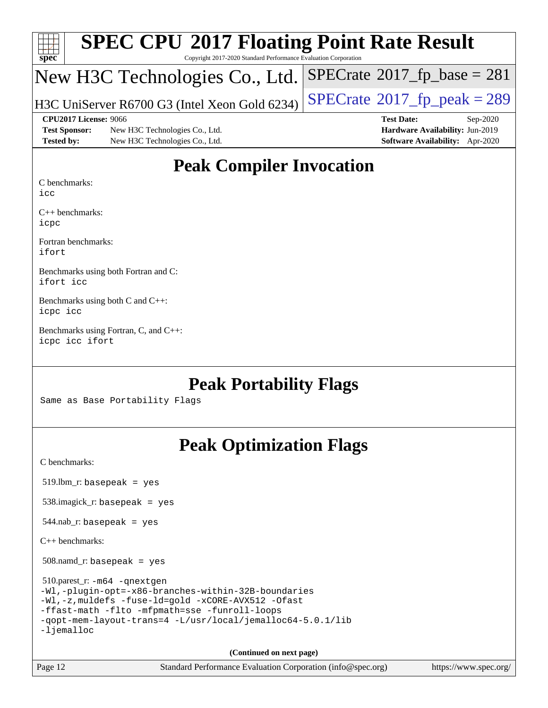| $\frac{1}{\text{spec}^*}$ | <b>SPEC CPU®2017 Floating Point Rate Result</b><br>Copyright 2017-2020 Standard Performance Evaluation Corporation |                                            |
|---------------------------|--------------------------------------------------------------------------------------------------------------------|--------------------------------------------|
|                           | New H3C Technologies Co., Ltd. SPECrate®2017_fp_base = 281                                                         |                                            |
|                           | H3C UniServer R6700 G3 (Intel Xeon Gold 6234)                                                                      | $SPECTate$ <sup>®</sup> 2017_fp_peak = 289 |
|                           | CPU2017 License: 9066                                                                                              | <b>Test Date:</b><br>Sep-2020              |
| <b>Test Sponsor:</b>      | New H3C Technologies Co., Ltd.                                                                                     | Hardware Availability: Jun-2019            |
| <b>Tested by:</b>         | New H3C Technologies Co., Ltd.                                                                                     | Software Availability: Apr-2020            |

### **[Peak Compiler Invocation](http://www.spec.org/auto/cpu2017/Docs/result-fields.html#PeakCompilerInvocation)**

[C benchmarks](http://www.spec.org/auto/cpu2017/Docs/result-fields.html#Cbenchmarks):

[icc](http://www.spec.org/cpu2017/results/res2020q4/cpu2017-20200927-24024.flags.html#user_CCpeak_intel_icc_66fc1ee009f7361af1fbd72ca7dcefbb700085f36577c54f309893dd4ec40d12360134090235512931783d35fd58c0460139e722d5067c5574d8eaf2b3e37e92)

[C++ benchmarks](http://www.spec.org/auto/cpu2017/Docs/result-fields.html#CXXbenchmarks): [icpc](http://www.spec.org/cpu2017/results/res2020q4/cpu2017-20200927-24024.flags.html#user_CXXpeak_intel_icpc_c510b6838c7f56d33e37e94d029a35b4a7bccf4766a728ee175e80a419847e808290a9b78be685c44ab727ea267ec2f070ec5dc83b407c0218cded6866a35d07)

[Fortran benchmarks:](http://www.spec.org/auto/cpu2017/Docs/result-fields.html#Fortranbenchmarks) [ifort](http://www.spec.org/cpu2017/results/res2020q4/cpu2017-20200927-24024.flags.html#user_FCpeak_intel_ifort_8111460550e3ca792625aed983ce982f94888b8b503583aa7ba2b8303487b4d8a21a13e7191a45c5fd58ff318f48f9492884d4413fa793fd88dd292cad7027ca)

[Benchmarks using both Fortran and C](http://www.spec.org/auto/cpu2017/Docs/result-fields.html#BenchmarksusingbothFortranandC): [ifort](http://www.spec.org/cpu2017/results/res2020q4/cpu2017-20200927-24024.flags.html#user_CC_FCpeak_intel_ifort_8111460550e3ca792625aed983ce982f94888b8b503583aa7ba2b8303487b4d8a21a13e7191a45c5fd58ff318f48f9492884d4413fa793fd88dd292cad7027ca) [icc](http://www.spec.org/cpu2017/results/res2020q4/cpu2017-20200927-24024.flags.html#user_CC_FCpeak_intel_icc_66fc1ee009f7361af1fbd72ca7dcefbb700085f36577c54f309893dd4ec40d12360134090235512931783d35fd58c0460139e722d5067c5574d8eaf2b3e37e92)

[Benchmarks using both C and C++:](http://www.spec.org/auto/cpu2017/Docs/result-fields.html#BenchmarksusingbothCandCXX) [icpc](http://www.spec.org/cpu2017/results/res2020q4/cpu2017-20200927-24024.flags.html#user_CC_CXXpeak_intel_icpc_c510b6838c7f56d33e37e94d029a35b4a7bccf4766a728ee175e80a419847e808290a9b78be685c44ab727ea267ec2f070ec5dc83b407c0218cded6866a35d07) [icc](http://www.spec.org/cpu2017/results/res2020q4/cpu2017-20200927-24024.flags.html#user_CC_CXXpeak_intel_icc_66fc1ee009f7361af1fbd72ca7dcefbb700085f36577c54f309893dd4ec40d12360134090235512931783d35fd58c0460139e722d5067c5574d8eaf2b3e37e92)

[Benchmarks using Fortran, C, and C++](http://www.spec.org/auto/cpu2017/Docs/result-fields.html#BenchmarksusingFortranCandCXX): [icpc](http://www.spec.org/cpu2017/results/res2020q4/cpu2017-20200927-24024.flags.html#user_CC_CXX_FCpeak_intel_icpc_c510b6838c7f56d33e37e94d029a35b4a7bccf4766a728ee175e80a419847e808290a9b78be685c44ab727ea267ec2f070ec5dc83b407c0218cded6866a35d07) [icc](http://www.spec.org/cpu2017/results/res2020q4/cpu2017-20200927-24024.flags.html#user_CC_CXX_FCpeak_intel_icc_66fc1ee009f7361af1fbd72ca7dcefbb700085f36577c54f309893dd4ec40d12360134090235512931783d35fd58c0460139e722d5067c5574d8eaf2b3e37e92) [ifort](http://www.spec.org/cpu2017/results/res2020q4/cpu2017-20200927-24024.flags.html#user_CC_CXX_FCpeak_intel_ifort_8111460550e3ca792625aed983ce982f94888b8b503583aa7ba2b8303487b4d8a21a13e7191a45c5fd58ff318f48f9492884d4413fa793fd88dd292cad7027ca)

### **[Peak Portability Flags](http://www.spec.org/auto/cpu2017/Docs/result-fields.html#PeakPortabilityFlags)**

Same as Base Portability Flags

## **[Peak Optimization Flags](http://www.spec.org/auto/cpu2017/Docs/result-fields.html#PeakOptimizationFlags)**

[C benchmarks](http://www.spec.org/auto/cpu2017/Docs/result-fields.html#Cbenchmarks):

519.lbm\_r: basepeak = yes

538.imagick\_r: basepeak = yes

 $544.nab$ <sub>r</sub>: basepeak = yes

[C++ benchmarks:](http://www.spec.org/auto/cpu2017/Docs/result-fields.html#CXXbenchmarks)

508.namd\_r: basepeak = yes

 510.parest\_r: [-m64](http://www.spec.org/cpu2017/results/res2020q4/cpu2017-20200927-24024.flags.html#user_peakCXXLD510_parest_r_m64-icc) [-qnextgen](http://www.spec.org/cpu2017/results/res2020q4/cpu2017-20200927-24024.flags.html#user_peakCXXLD510_parest_r_f-qnextgen) [-Wl,-plugin-opt=-x86-branches-within-32B-boundaries](http://www.spec.org/cpu2017/results/res2020q4/cpu2017-20200927-24024.flags.html#user_peakLDFLAGS510_parest_r_f-x86-branches-within-32B-boundaries_0098b4e4317ae60947b7b728078a624952a08ac37a3c797dfb4ffeb399e0c61a9dd0f2f44ce917e9361fb9076ccb15e7824594512dd315205382d84209e912f3) [-Wl,-z,muldefs](http://www.spec.org/cpu2017/results/res2020q4/cpu2017-20200927-24024.flags.html#user_peakEXTRA_LDFLAGS510_parest_r_link_force_multiple1_b4cbdb97b34bdee9ceefcfe54f4c8ea74255f0b02a4b23e853cdb0e18eb4525ac79b5a88067c842dd0ee6996c24547a27a4b99331201badda8798ef8a743f577) [-fuse-ld=gold](http://www.spec.org/cpu2017/results/res2020q4/cpu2017-20200927-24024.flags.html#user_peakEXTRA_LDFLAGS510_parest_r_f-fuse-ld_920b3586e2b8c6e0748b9c84fa9b744736ba725a32cab14ad8f3d4ad28eecb2f59d1144823d2e17006539a88734fe1fc08fc3035f7676166309105a78aaabc32) [-xCORE-AVX512](http://www.spec.org/cpu2017/results/res2020q4/cpu2017-20200927-24024.flags.html#user_peakCXXOPTIMIZE510_parest_r_f-xCORE-AVX512) [-Ofast](http://www.spec.org/cpu2017/results/res2020q4/cpu2017-20200927-24024.flags.html#user_peakCXXOPTIMIZE510_parest_r_f-Ofast) [-ffast-math](http://www.spec.org/cpu2017/results/res2020q4/cpu2017-20200927-24024.flags.html#user_peakCXXOPTIMIZE510_parest_r_f-ffast-math) [-flto](http://www.spec.org/cpu2017/results/res2020q4/cpu2017-20200927-24024.flags.html#user_peakCXXOPTIMIZE510_parest_r_f-flto) [-mfpmath=sse](http://www.spec.org/cpu2017/results/res2020q4/cpu2017-20200927-24024.flags.html#user_peakCXXOPTIMIZE510_parest_r_f-mfpmath_70eb8fac26bde974f8ab713bc9086c5621c0b8d2f6c86f38af0bd7062540daf19db5f3a066d8c6684be05d84c9b6322eb3b5be6619d967835195b93d6c02afa1) [-funroll-loops](http://www.spec.org/cpu2017/results/res2020q4/cpu2017-20200927-24024.flags.html#user_peakCXXOPTIMIZE510_parest_r_f-funroll-loops) [-qopt-mem-layout-trans=4](http://www.spec.org/cpu2017/results/res2020q4/cpu2017-20200927-24024.flags.html#user_peakCXXOPTIMIZE510_parest_r_f-qopt-mem-layout-trans_fa39e755916c150a61361b7846f310bcdf6f04e385ef281cadf3647acec3f0ae266d1a1d22d972a7087a248fd4e6ca390a3634700869573d231a252c784941a8) [-L/usr/local/jemalloc64-5.0.1/lib](http://www.spec.org/cpu2017/results/res2020q4/cpu2017-20200927-24024.flags.html#user_peakEXTRA_LIBS510_parest_r_jemalloc_link_path64_1_cc289568b1a6c0fd3b62c91b824c27fcb5af5e8098e6ad028160d21144ef1b8aef3170d2acf0bee98a8da324cfe4f67d0a3d0c4cc4673d993d694dc2a0df248b) [-ljemalloc](http://www.spec.org/cpu2017/results/res2020q4/cpu2017-20200927-24024.flags.html#user_peakEXTRA_LIBS510_parest_r_jemalloc_link_lib_d1249b907c500fa1c0672f44f562e3d0f79738ae9e3c4a9c376d49f265a04b9c99b167ecedbf6711b3085be911c67ff61f150a17b3472be731631ba4d0471706)

**(Continued on next page)**

Page 12 Standard Performance Evaluation Corporation [\(info@spec.org\)](mailto:info@spec.org) <https://www.spec.org/>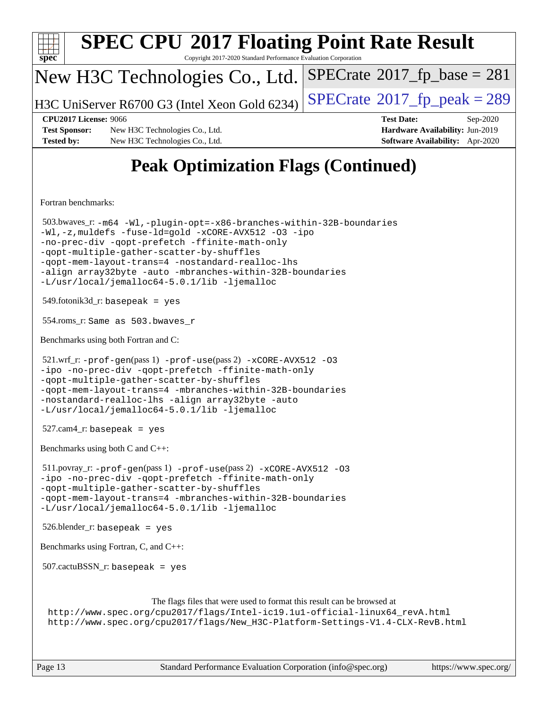| <b>SPEC CPU®2017 Floating Point Rate Result</b><br>$spec^*$<br>Copyright 2017-2020 Standard Performance Evaluation Corporation                                                                                                                                                                                                                                                                |                                                                  |
|-----------------------------------------------------------------------------------------------------------------------------------------------------------------------------------------------------------------------------------------------------------------------------------------------------------------------------------------------------------------------------------------------|------------------------------------------------------------------|
| New H3C Technologies Co., Ltd.                                                                                                                                                                                                                                                                                                                                                                | $SPECrate^{\circ}2017$ fp base = 281                             |
| H3C UniServer R6700 G3 (Intel Xeon Gold 6234)                                                                                                                                                                                                                                                                                                                                                 | $SPECrate^{\circ}2017$ _fp_peak = 289                            |
| <b>CPU2017 License: 9066</b><br><b>Test Sponsor:</b><br>New H3C Technologies Co., Ltd.                                                                                                                                                                                                                                                                                                        | <b>Test Date:</b><br>Sep-2020<br>Hardware Availability: Jun-2019 |
| <b>Tested by:</b><br>New H3C Technologies Co., Ltd.                                                                                                                                                                                                                                                                                                                                           | Software Availability: Apr-2020                                  |
| <b>Peak Optimization Flags (Continued)</b>                                                                                                                                                                                                                                                                                                                                                    |                                                                  |
| Fortran benchmarks:                                                                                                                                                                                                                                                                                                                                                                           |                                                                  |
| 503.bwaves_r:-m64 -Wl,-plugin-opt=-x86-branches-within-32B-boundaries<br>-Wl,-z, muldefs -fuse-ld=gold -xCORE-AVX512 -03 -ipo<br>-no-prec-div -qopt-prefetch -ffinite-math-only<br>-qopt-multiple-gather-scatter-by-shuffles<br>-qopt-mem-layout-trans=4 -nostandard-realloc-lhs<br>-align array32byte -auto -mbranches-within-32B-boundaries<br>-L/usr/local/jemalloc64-5.0.1/lib -ljemalloc |                                                                  |
| $549$ .fotonik $3d$ _r: basepeak = yes                                                                                                                                                                                                                                                                                                                                                        |                                                                  |
| 554.roms_r: Same as 503.bwaves_r                                                                                                                                                                                                                                                                                                                                                              |                                                                  |
| Benchmarks using both Fortran and C:                                                                                                                                                                                                                                                                                                                                                          |                                                                  |
| 521.wrf_r: -prof-gen(pass 1) -prof-use(pass 2) -xCORE-AVX512 -03<br>-ipo -no-prec-div -qopt-prefetch -ffinite-math-only<br>-qopt-multiple-qather-scatter-by-shuffles<br>-qopt-mem-layout-trans=4 -mbranches-within-32B-boundaries<br>-nostandard-realloc-lhs -align array32byte -auto<br>-L/usr/local/jemalloc64-5.0.1/lib -ljemalloc                                                         |                                                                  |
| $527.cam4_r$ : basepeak = yes                                                                                                                                                                                                                                                                                                                                                                 |                                                                  |
| Benchmarks using both C and C++:                                                                                                                                                                                                                                                                                                                                                              |                                                                  |
| 511.povray_r: -prof-gen(pass 1) -prof-use(pass 2) -xCORE-AVX512 -03<br>-ipo -no-prec-div -qopt-prefetch -ffinite-math-only<br>-qopt-multiple-gather-scatter-by-shuffles<br>-qopt-mem-layout-trans=4 -mbranches-within-32B-boundaries                                                                                                                                                          |                                                                  |
| -L/usr/local/jemalloc64-5.0.1/lib -ljemalloc                                                                                                                                                                                                                                                                                                                                                  |                                                                  |
| $526.$ blender_r: basepeak = yes                                                                                                                                                                                                                                                                                                                                                              |                                                                  |
| Benchmarks using Fortran, C, and C++:                                                                                                                                                                                                                                                                                                                                                         |                                                                  |
| $507.cactuBSSN_r$ : basepeak = yes                                                                                                                                                                                                                                                                                                                                                            |                                                                  |
| The flags files that were used to format this result can be browsed at<br>http://www.spec.org/cpu2017/flags/Intel-ic19.1u1-official-linux64_revA.html<br>http://www.spec.org/cpu2017/flags/New_H3C-Platform-Settings-V1.4-CLX-RevB.html                                                                                                                                                       |                                                                  |